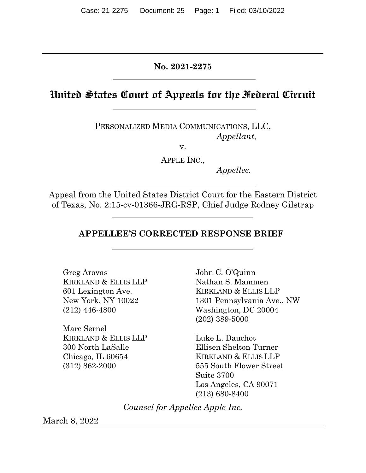**No. 2021-2275**

# **United States Court of Appeals for the Federal Circuit**

PERSONALIZED MEDIA COMMUNICATIONS, LLC, *Appellant,*

v.

APPLE INC.,

*Appellee.*

Appeal from the United States District Court for the Eastern District of Texas, No. 2:15-cv-01366-JRG-RSP, Chief Judge Rodney Gilstrap

## **APPELLEE'S CORRECTED RESPONSE BRIEF**

Greg Arovas KIRKLAND & ELLIS LLP 601 Lexington Ave. New York, NY 10022 (212) 446-4800

Marc Sernel KIRKLAND & ELLIS LLP 300 North LaSalle Chicago, IL 60654 (312) 862-2000

John C. O'Quinn Nathan S. Mammen KIRKLAND & ELLIS LLP 1301 Pennsylvania Ave., NW Washington, DC 20004 (202) 389-5000

Luke L. Dauchot Ellisen Shelton Turner KIRKLAND & ELLIS LLP 555 South Flower Street Suite 3700 Los Angeles, CA 90071 (213) 680-8400

*Counsel for Appellee Apple Inc.*

March 8, 2022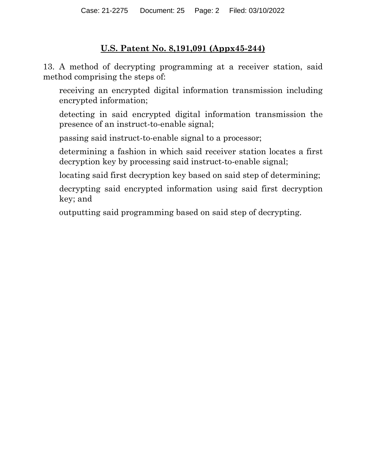# **U.S. Patent No. 8,191,091 (Appx45-244)**

13. A method of decrypting programming at a receiver station, said method comprising the steps of:

receiving an encrypted digital information transmission including encrypted information;

detecting in said encrypted digital information transmission the presence of an instruct-to-enable signal;

passing said instruct-to-enable signal to a processor;

determining a fashion in which said receiver station locates a first decryption key by processing said instruct-to-enable signal;

locating said first decryption key based on said step of determining;

decrypting said encrypted information using said first decryption key; and

outputting said programming based on said step of decrypting.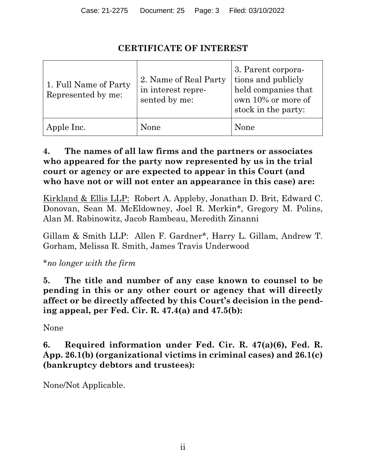# **CERTIFICATE OF INTEREST**

| 1. Full Name of Party<br>Represented by me: | 2. Name of Real Party<br>in interest repre-<br>sented by me: | 3. Parent corpora-<br>tions and publicly<br>held companies that<br>own 10% or more of<br>stock in the party: |
|---------------------------------------------|--------------------------------------------------------------|--------------------------------------------------------------------------------------------------------------|
| Apple Inc.                                  | None                                                         | None                                                                                                         |

## **4. The names of all law firms and the partners or associates who appeared for the party now represented by us in the trial court or agency or are expected to appear in this Court (and who have not or will not enter an appearance in this case) are:**

Kirkland & Ellis LLP: Robert A. Appleby, Jonathan D. Brit, Edward C. Donovan, Sean M. McEldowney, Joel R. Merkin\*, Gregory M. Polins, Alan M. Rabinowitz, Jacob Rambeau, Meredith Zinanni

Gillam & Smith LLP: Allen F. Gardner\*, Harry L. Gillam, Andrew T. Gorham, Melissa R. Smith, James Travis Underwood

\**no longer with the firm*

**5. The title and number of any case known to counsel to be pending in this or any other court or agency that will directly affect or be directly affected by this Court's decision in the pending appeal, per Fed. Cir. R. 47.4(a) and 47.5(b):**

None

# **6. Required information under Fed. Cir. R. 47(a)(6), Fed. R. App. 26.1(b) (organizational victims in criminal cases) and 26.1(c) (bankruptcy debtors and trustees):**

None/Not Applicable.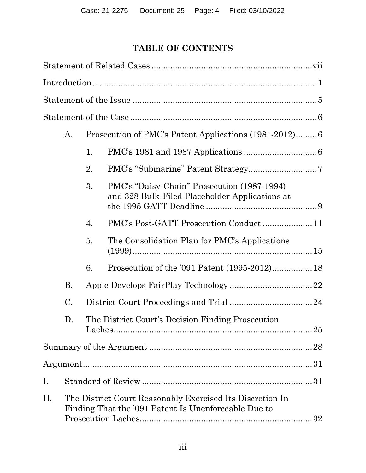# **TABLE OF CONTENTS**

|    | A.                                                                                                                |    | Prosecution of PMC's Patent Applications (1981-2012)6                                         |  |
|----|-------------------------------------------------------------------------------------------------------------------|----|-----------------------------------------------------------------------------------------------|--|
|    |                                                                                                                   | 1. |                                                                                               |  |
|    |                                                                                                                   | 2. |                                                                                               |  |
|    |                                                                                                                   | 3. | PMC's "Daisy-Chain" Prosecution (1987-1994)<br>and 328 Bulk-Filed Placeholder Applications at |  |
|    |                                                                                                                   | 4. | PMC's Post-GATT Prosecution Conduct11                                                         |  |
|    |                                                                                                                   | 5. | The Consolidation Plan for PMC's Applications                                                 |  |
|    |                                                                                                                   | 6. |                                                                                               |  |
|    | <b>B.</b>                                                                                                         |    |                                                                                               |  |
|    | C.                                                                                                                |    |                                                                                               |  |
|    | D.                                                                                                                |    | The District Court's Decision Finding Prosecution                                             |  |
|    |                                                                                                                   |    |                                                                                               |  |
|    |                                                                                                                   |    |                                                                                               |  |
| Ι. |                                                                                                                   |    |                                                                                               |  |
| П. | The District Court Reasonably Exercised Its Discretion In<br>Finding That the '091 Patent Is Unenforceable Due to |    |                                                                                               |  |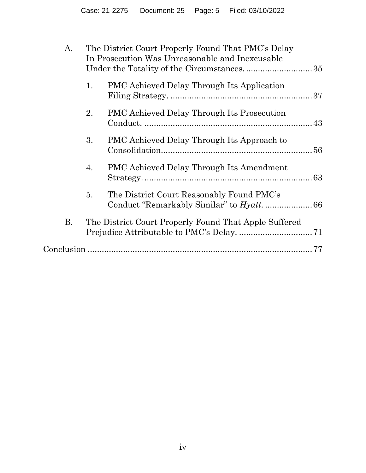| A.        |    | The District Court Properly Found That PMC's Delay<br>In Prosecution Was Unreasonable and Inexcusable |  |
|-----------|----|-------------------------------------------------------------------------------------------------------|--|
|           | 1. | <b>PMC Achieved Delay Through Its Application</b>                                                     |  |
|           | 2. | <b>PMC Achieved Delay Through Its Prosecution</b>                                                     |  |
|           | 3. | PMC Achieved Delay Through Its Approach to                                                            |  |
|           | 4. | <b>PMC Achieved Delay Through Its Amendment</b>                                                       |  |
|           | 5. | The District Court Reasonably Found PMC's                                                             |  |
| <b>B.</b> |    | The District Court Properly Found That Apple Suffered                                                 |  |
|           |    |                                                                                                       |  |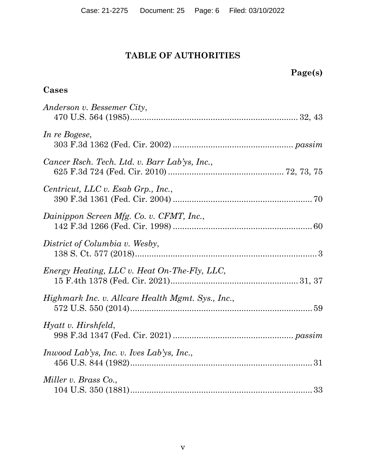# **TABLE OF AUTHORITIES**

# **Page(s)**

# **Cases**

| Anderson v. Bessemer City,                        |
|---------------------------------------------------|
| In re Bogese,                                     |
| Cancer Rsch. Tech. Ltd. v. Barr Lab'ys, Inc.,     |
| Centricut, LLC v. Esab Grp., Inc.,                |
| Dainippon Screen Mfg. Co. v. CFMT, Inc.,          |
| District of Columbia v. Wesby,                    |
| Energy Heating, LLC v. Heat On-The-Fly, LLC,      |
| Highmark Inc. v. Allcare Health Mgmt. Sys., Inc., |
| Hyatt v. Hirshfeld,                               |
| <i>Inwood Lab'ys, Inc. v. Ives Lab'ys, Inc.,</i>  |
| Miller v. Brass Co.,                              |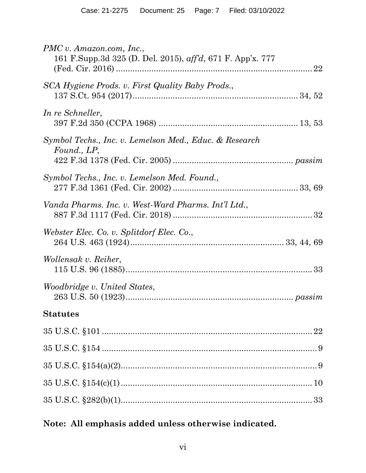| $PMC$ v. Amazon.com, Inc.,<br>161 F.Supp.3d 325 (D. Del. 2015), aff'd, 671 F. App'x. 777 |
|------------------------------------------------------------------------------------------|
| SCA Hygiene Prods. v. First Quality Baby Prods.,                                         |
| In re Schneller,                                                                         |
| Symbol Techs., Inc. v. Lemelson Med., Educ. & Research<br>Found., LP,                    |
| Symbol Techs., Inc. v. Lemelson Med. Found.,                                             |
| Vanda Pharms. Inc. v. West-Ward Pharms. Int'l Ltd.,                                      |
| Webster Elec. Co. v. Splitdorf Elec. Co.,                                                |
| Wollensak v. Reiher,                                                                     |
| Woodbridge v. United States,                                                             |
| <b>Statutes</b>                                                                          |
|                                                                                          |
|                                                                                          |
|                                                                                          |
|                                                                                          |
|                                                                                          |
|                                                                                          |

# **Note: All emphasis added unless otherwise indicated.**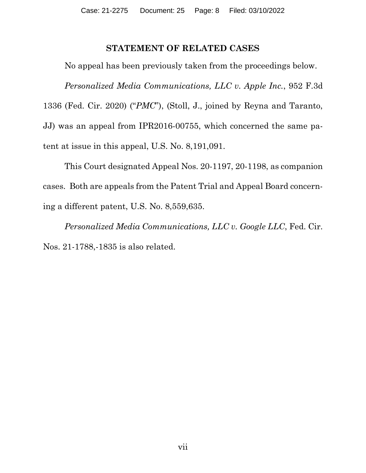### **STATEMENT OF RELATED CASES**

No appeal has been previously taken from the proceedings below.

*Personalized Media Communications, LLC v. Apple Inc.*, 952 F.3d 1336 (Fed. Cir. 2020) ("*PMC*"), (Stoll, J., joined by Reyna and Taranto, JJ) was an appeal from IPR2016-00755, which concerned the same patent at issue in this appeal, U.S. No. 8,191,091.

This Court designated Appeal Nos. 20-1197, 20-1198, as companion cases. Both are appeals from the Patent Trial and Appeal Board concerning a different patent, U.S. No. 8,559,635.

*Personalized Media Communications, LLC v. Google LLC*, Fed. Cir. Nos. 21-1788,-1835 is also related.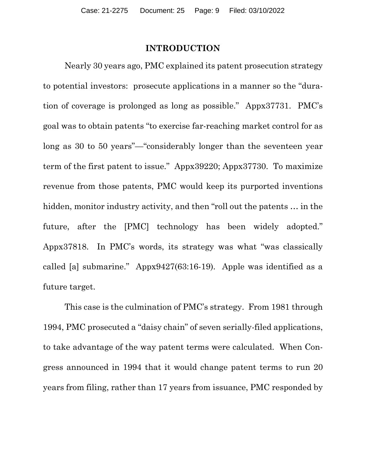#### **INTRODUCTION**

Nearly 30 years ago, PMC explained its patent prosecution strategy to potential investors: prosecute applications in a manner so the "duration of coverage is prolonged as long as possible." Appx37731. PMC's goal was to obtain patents "to exercise far-reaching market control for as long as 30 to 50 years"—"considerably longer than the seventeen year term of the first patent to issue." Appx39220; Appx37730. To maximize revenue from those patents, PMC would keep its purported inventions hidden, monitor industry activity, and then "roll out the patents … in the future, after the [PMC] technology has been widely adopted." Appx37818. In PMC's words, its strategy was what "was classically called [a] submarine." Appx9427(63:16-19). Apple was identified as a future target.

This case is the culmination of PMC's strategy. From 1981 through 1994, PMC prosecuted a "daisy chain" of seven serially-filed applications, to take advantage of the way patent terms were calculated. When Congress announced in 1994 that it would change patent terms to run 20 years from filing, rather than 17 years from issuance, PMC responded by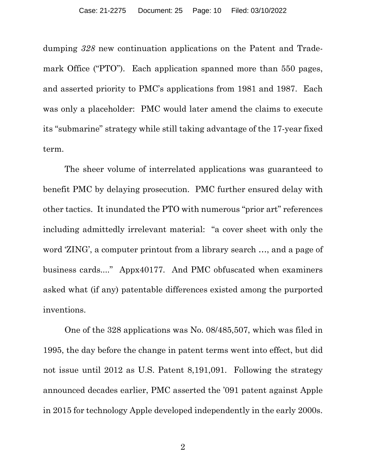dumping *328* new continuation applications on the Patent and Trademark Office ("PTO"). Each application spanned more than 550 pages, and asserted priority to PMC's applications from 1981 and 1987. Each was only a placeholder: PMC would later amend the claims to execute its "submarine" strategy while still taking advantage of the 17-year fixed term.

The sheer volume of interrelated applications was guaranteed to benefit PMC by delaying prosecution. PMC further ensured delay with other tactics. It inundated the PTO with numerous "prior art" references including admittedly irrelevant material: "a cover sheet with only the word 'ZING', a computer printout from a library search …, and a page of business cards...." Appx40177. And PMC obfuscated when examiners asked what (if any) patentable differences existed among the purported inventions.

One of the 328 applications was No. 08/485,507, which was filed in 1995, the day before the change in patent terms went into effect, but did not issue until 2012 as U.S. Patent 8,191,091. Following the strategy announced decades earlier, PMC asserted the '091 patent against Apple in 2015 for technology Apple developed independently in the early 2000s.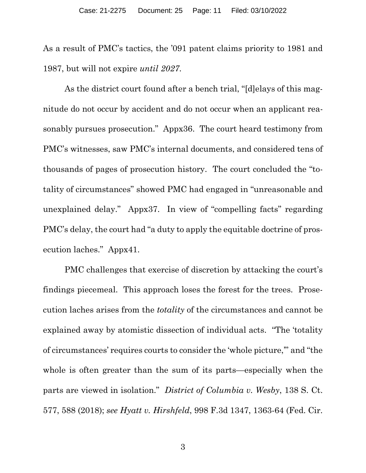As a result of PMC's tactics, the '091 patent claims priority to 1981 and 1987, but will not expire *until 2027*.

As the district court found after a bench trial, "[d]elays of this magnitude do not occur by accident and do not occur when an applicant reasonably pursues prosecution." Appx36. The court heard testimony from PMC's witnesses, saw PMC's internal documents, and considered tens of thousands of pages of prosecution history. The court concluded the "totality of circumstances" showed PMC had engaged in "unreasonable and unexplained delay." Appx37. In view of "compelling facts" regarding PMC's delay, the court had "a duty to apply the equitable doctrine of prosecution laches." Appx41.

PMC challenges that exercise of discretion by attacking the court's findings piecemeal. This approach loses the forest for the trees. Prosecution laches arises from the *totality* of the circumstances and cannot be explained away by atomistic dissection of individual acts. "The 'totality of circumstances' requires courts to consider the 'whole picture,'" and "the whole is often greater than the sum of its parts—especially when the parts are viewed in isolation." *District of Columbia v. Wesby*, 138 S. Ct. 577, 588 (2018); *see Hyatt v. Hirshfeld*, 998 F.3d 1347, 1363-64 (Fed. Cir.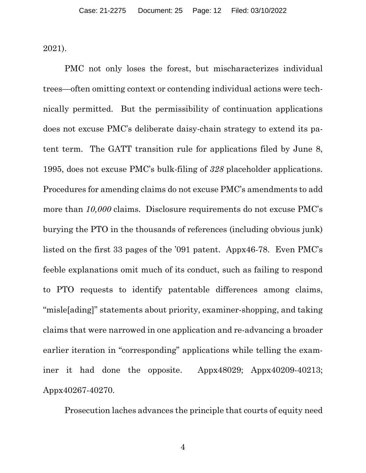2021).

PMC not only loses the forest, but mischaracterizes individual trees—often omitting context or contending individual actions were technically permitted. But the permissibility of continuation applications does not excuse PMC's deliberate daisy-chain strategy to extend its patent term. The GATT transition rule for applications filed by June 8, 1995, does not excuse PMC's bulk-filing of *328* placeholder applications. Procedures for amending claims do not excuse PMC's amendments to add more than  $10,000$  claims. Disclosure requirements do not excuse PMC's burying the PTO in the thousands of references (including obvious junk) listed on the first 33 pages of the '091 patent. Appx46-78. Even PMC's feeble explanations omit much of its conduct, such as failing to respond to PTO requests to identify patentable differences among claims, "misle[ading]" statements about priority, examiner-shopping, and taking claims that were narrowed in one application and re-advancing a broader earlier iteration in "corresponding" applications while telling the examiner it had done the opposite. Appx48029; Appx40209-40213; Appx40267-40270.

Prosecution laches advances the principle that courts of equity need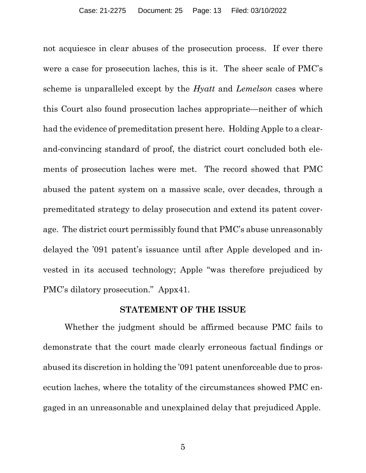not acquiesce in clear abuses of the prosecution process. If ever there were a case for prosecution laches, this is it. The sheer scale of PMC's scheme is unparalleled except by the *Hyatt* and *Lemelson* cases where this Court also found prosecution laches appropriate—neither of which had the evidence of premeditation present here. Holding Apple to a clearand-convincing standard of proof, the district court concluded both elements of prosecution laches were met. The record showed that PMC abused the patent system on a massive scale, over decades, through a premeditated strategy to delay prosecution and extend its patent coverage. The district court permissibly found that PMC's abuse unreasonably delayed the '091 patent's issuance until after Apple developed and invested in its accused technology; Apple "was therefore prejudiced by PMC's dilatory prosecution." Appx41.

#### **STATEMENT OF THE ISSUE**

Whether the judgment should be affirmed because PMC fails to demonstrate that the court made clearly erroneous factual findings or abused its discretion in holding the '091 patent unenforceable due to prosecution laches, where the totality of the circumstances showed PMC engaged in an unreasonable and unexplained delay that prejudiced Apple.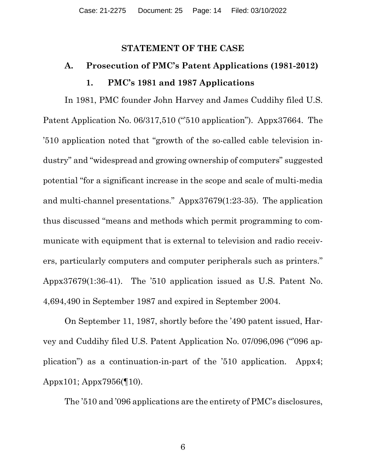### **STATEMENT OF THE CASE**

# **A. Prosecution of PMC's Patent Applications (1981-2012) 1. PMC's 1981 and 1987 Applications**

In 1981, PMC founder John Harvey and James Cuddihy filed U.S. Patent Application No. 06/317,510 ("510 application"). Appx37664. The '510 application noted that "growth of the so-called cable television industry" and "widespread and growing ownership of computers" suggested potential "for a significant increase in the scope and scale of multi-media and multi-channel presentations." Appx37679(1:23-35). The application thus discussed "means and methods which permit programming to communicate with equipment that is external to television and radio receivers, particularly computers and computer peripherals such as printers." Appx37679(1:36-41). The '510 application issued as U.S. Patent No. 4,694,490 in September 1987 and expired in September 2004.

On September 11, 1987, shortly before the '490 patent issued, Harvey and Cuddihy filed U.S. Patent Application No. 07/096,096 ("'096 application") as a continuation-in-part of the '510 application. Appx4; Appx101; Appx7956(¶10).

The '510 and '096 applications are the entirety of PMC's disclosures,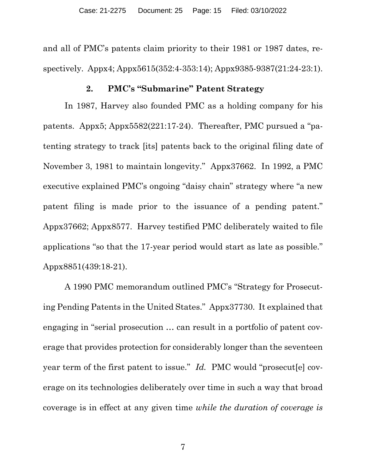and all of PMC's patents claim priority to their 1981 or 1987 dates, respectively. Appx4; Appx5615(352:4-353:14); Appx9385-9387(21:24-23:1).

#### **2. PMC's "Submarine" Patent Strategy**

In 1987, Harvey also founded PMC as a holding company for his patents. Appx5; Appx5582(221:17-24). Thereafter, PMC pursued a "patenting strategy to track [its] patents back to the original filing date of November 3, 1981 to maintain longevity." Appx37662. In 1992, a PMC executive explained PMC's ongoing "daisy chain" strategy where "a new patent filing is made prior to the issuance of a pending patent." Appx37662; Appx8577. Harvey testified PMC deliberately waited to file applications "so that the 17-year period would start as late as possible." Appx8851(439:18-21).

A 1990 PMC memorandum outlined PMC's "Strategy for Prosecuting Pending Patents in the United States." Appx37730. It explained that engaging in "serial prosecution … can result in a portfolio of patent coverage that provides protection for considerably longer than the seventeen year term of the first patent to issue." *Id.* PMC would "prosecut[e] coverage on its technologies deliberately over time in such a way that broad coverage is in effect at any given time *while the duration of coverage is*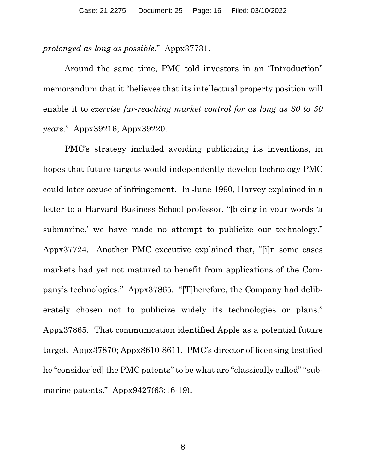*prolonged as long as possible*." Appx37731.

Around the same time, PMC told investors in an "Introduction" memorandum that it "believes that its intellectual property position will enable it to *exercise far-reaching market control for as long as 30 to 50 years*." Appx39216; Appx39220.

PMC's strategy included avoiding publicizing its inventions, in hopes that future targets would independently develop technology PMC could later accuse of infringement. In June 1990, Harvey explained in a letter to a Harvard Business School professor, "[b]eing in your words 'a submarine,' we have made no attempt to publicize our technology." Appx37724. Another PMC executive explained that, "[i]n some cases markets had yet not matured to benefit from applications of the Company's technologies." Appx37865. "[T]herefore, the Company had deliberately chosen not to publicize widely its technologies or plans." Appx37865. That communication identified Apple as a potential future target. Appx37870; Appx8610-8611. PMC's director of licensing testified he "consider[ed] the PMC patents" to be what are "classically called" "submarine patents." Appx9427(63:16-19).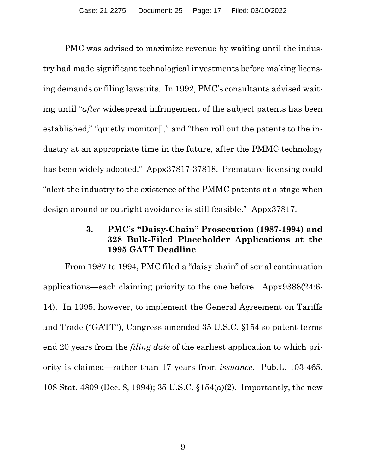PMC was advised to maximize revenue by waiting until the industry had made significant technological investments before making licensing demands or filing lawsuits. In 1992, PMC's consultants advised waiting until "*after* widespread infringement of the subject patents has been established," "quietly monitor[]," and "then roll out the patents to the industry at an appropriate time in the future, after the PMMC technology has been widely adopted." Appx37817-37818. Premature licensing could "alert the industry to the existence of the PMMC patents at a stage when design around or outright avoidance is still feasible." Appx37817.

## **3. PMC's "Daisy-Chain" Prosecution (1987-1994) and 328 Bulk-Filed Placeholder Applications at the 1995 GATT Deadline**

From 1987 to 1994, PMC filed a "daisy chain" of serial continuation applications—each claiming priority to the one before. Appx9388(24:6- 14). In 1995, however, to implement the General Agreement on Tariffs and Trade ("GATT"), Congress amended 35 U.S.C. §154 so patent terms end 20 years from the *filing date* of the earliest application to which priority is claimed—rather than 17 years from *issuance*. Pub.L. 103-465, 108 Stat. 4809 (Dec. 8, 1994); 35 U.S.C. §154(a)(2). Importantly, the new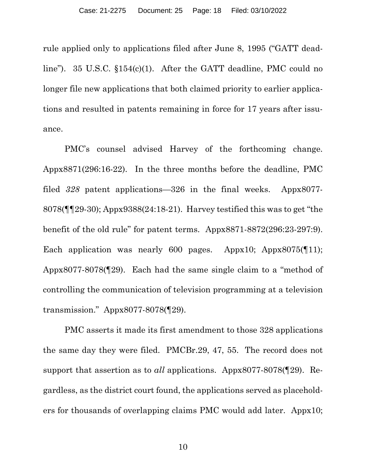rule applied only to applications filed after June 8, 1995 ("GATT deadline"). 35 U.S.C. §154(c)(1). After the GATT deadline, PMC could no longer file new applications that both claimed priority to earlier applications and resulted in patents remaining in force for 17 years after issuance.

PMC's counsel advised Harvey of the forthcoming change. Appx8871(296:16-22). In the three months before the deadline, PMC filed *328* patent applications—326 in the final weeks. Appx8077- 8078(¶¶29-30); Appx9388(24:18-21). Harvey testified this was to get "the benefit of the old rule" for patent terms. Appx8871-8872(296:23-297:9). Each application was nearly 600 pages. Appx10; Appx8075([11]); Appx8077-8078(¶29). Each had the same single claim to a "method of controlling the communication of television programming at a television transmission." Appx8077-8078(¶29).

PMC asserts it made its first amendment to those 328 applications the same day they were filed. PMCBr.29, 47, 55. The record does not support that assertion as to *all* applications. Appx8077-8078(¶29). Regardless, as the district court found, the applications served as placeholders for thousands of overlapping claims PMC would add later. Appx10;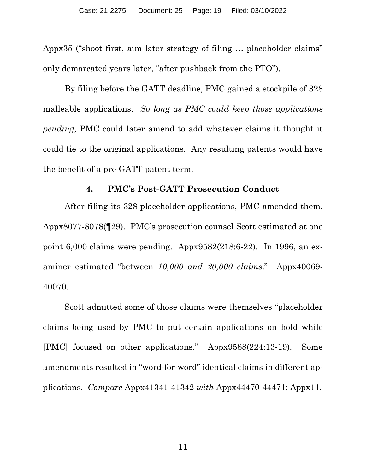Appx35 ("shoot first, aim later strategy of filing … placeholder claims" only demarcated years later, "after pushback from the PTO").

By filing before the GATT deadline, PMC gained a stockpile of 328 malleable applications. *So long as PMC could keep those applications pending*, PMC could later amend to add whatever claims it thought it could tie to the original applications. Any resulting patents would have the benefit of a pre-GATT patent term.

#### **4. PMC's Post-GATT Prosecution Conduct**

After filing its 328 placeholder applications, PMC amended them. Appx8077-8078(¶29). PMC's prosecution counsel Scott estimated at one point 6,000 claims were pending. Appx9582(218:6-22). In 1996, an examiner estimated "between *10,000 and 20,000 claims*." Appx40069- 40070.

Scott admitted some of those claims were themselves "placeholder claims being used by PMC to put certain applications on hold while [PMC] focused on other applications." Appx9588(224:13-19). Some amendments resulted in "word-for-word" identical claims in different applications. *Compare* Appx41341-41342 *with* Appx44470-44471; Appx11.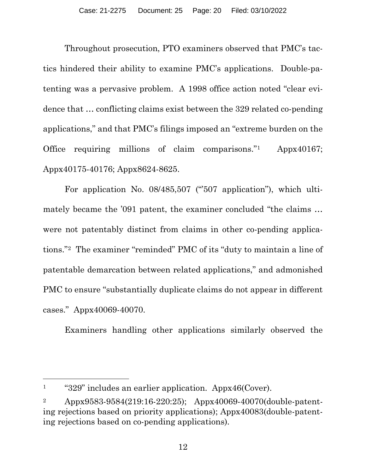Throughout prosecution, PTO examiners observed that PMC's tactics hindered their ability to examine PMC's applications. Double-patenting was a pervasive problem. A 1998 office action noted "clear evidence that … conflicting claims exist between the 329 related co-pending applications," and that PMC's filings imposed an "extreme burden on the Office requiring millions of claim comparisons."1 Appx40167; Appx40175-40176; Appx8624-8625.

For application No. 08/485,507 ("507 application"), which ultimately became the '091 patent, the examiner concluded "the claims … were not patentably distinct from claims in other co-pending applications."2 The examiner "reminded" PMC of its "duty to maintain a line of patentable demarcation between related applications," and admonished PMC to ensure "substantially duplicate claims do not appear in different cases." Appx40069-40070.

Examiners handling other applications similarly observed the

 $\overline{a}$ 

<sup>1</sup> "329" includes an earlier application. Appx46(Cover).

<sup>2</sup> Appx9583-9584(219:16-220:25); Appx40069-40070(double-patenting rejections based on priority applications); Appx40083(double-patenting rejections based on co-pending applications).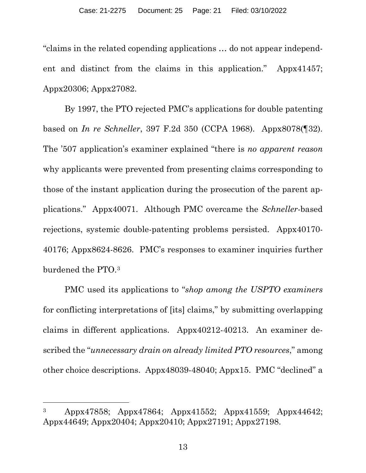"claims in the related copending applications … do not appear independent and distinct from the claims in this application." Appx41457; Appx20306; Appx27082.

By 1997, the PTO rejected PMC's applications for double patenting based on *In re Schneller*, 397 F.2d 350 (CCPA 1968). Appx8078(¶32). The '507 application's examiner explained "there is *no apparent reason*  why applicants were prevented from presenting claims corresponding to those of the instant application during the prosecution of the parent applications." Appx40071. Although PMC overcame the *Schneller*-based rejections, systemic double-patenting problems persisted. Appx40170- 40176; Appx8624-8626. PMC's responses to examiner inquiries further burdened the PTO.3

PMC used its applications to "*shop among the USPTO examiners* for conflicting interpretations of [its] claims," by submitting overlapping claims in different applications. Appx40212-40213. An examiner described the "*unnecessary drain on already limited PTO resources*," among other choice descriptions. Appx48039-48040; Appx15. PMC "declined" a

<sup>3</sup> Appx47858; Appx47864; Appx41552; Appx41559; Appx44642; Appx44649; Appx20404; Appx20410; Appx27191; Appx27198.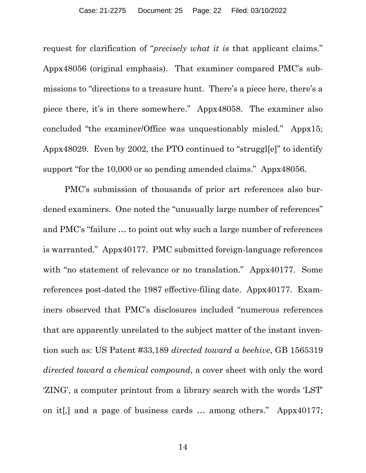request for clarification of "*precisely what it is* that applicant claims." Appx48056 (original emphasis). That examiner compared PMC's submissions to "directions to a treasure hunt. There's a piece here, there's a piece there, it's in there somewhere." Appx48058. The examiner also concluded "the examiner/Office was unquestionably misled." Appx15; Appx48029. Even by 2002, the PTO continued to "struggl[e]" to identify support "for the 10,000 or so pending amended claims." Appx48056.

PMC's submission of thousands of prior art references also burdened examiners. One noted the "unusually large number of references" and PMC's "failure … to point out why such a large number of references is warranted." Appx40177. PMC submitted foreign-language references with "no statement of relevance or no translation." Appx40177. Some references post-dated the 1987 effective-filing date. Appx40177. Examiners observed that PMC's disclosures included "numerous references that are apparently unrelated to the subject matter of the instant invention such as: US Patent #33,189 *directed toward a beehive*, GB 1565319 *directed toward a chemical compound*, a cover sheet with only the word 'ZING', a computer printout from a library search with the words 'LST' on it[,] and a page of business cards … among others." Appx40177;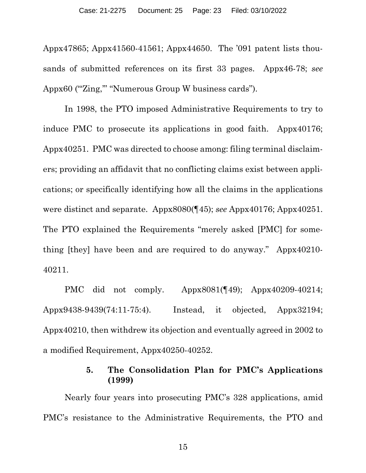Appx47865; Appx41560-41561; Appx44650. The '091 patent lists thousands of submitted references on its first 33 pages. Appx46-78; *see*  Appx60 ("Zing," "Numerous Group W business cards").

In 1998, the PTO imposed Administrative Requirements to try to induce PMC to prosecute its applications in good faith. Appx40176; Appx40251. PMC was directed to choose among: filing terminal disclaimers; providing an affidavit that no conflicting claims exist between applications; or specifically identifying how all the claims in the applications were distinct and separate. Appx8080(¶45); *see* Appx40176; Appx40251. The PTO explained the Requirements "merely asked [PMC] for something [they] have been and are required to do anyway." Appx40210- 40211.

PMC did not comply. Appx8081(¶49); Appx40209-40214; Appx9438-9439(74:11-75:4). Instead, it objected, Appx32194; Appx40210, then withdrew its objection and eventually agreed in 2002 to a modified Requirement, Appx40250-40252.

### **5. The Consolidation Plan for PMC's Applications (1999)**

Nearly four years into prosecuting PMC's 328 applications, amid PMC's resistance to the Administrative Requirements, the PTO and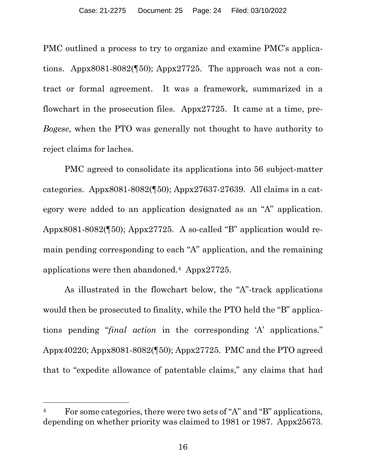PMC outlined a process to try to organize and examine PMC's applications. Appx8081-8082(¶50); Appx27725. The approach was not a contract or formal agreement. It was a framework, summarized in a flowchart in the prosecution files. Appx27725. It came at a time, pre-*Bogese*, when the PTO was generally not thought to have authority to reject claims for laches.

PMC agreed to consolidate its applications into 56 subject-matter categories. Appx8081-8082(¶50); Appx27637-27639. All claims in a category were added to an application designated as an "A" application. Appx8081-8082(¶50); Appx27725.A so-called "B" application would remain pending corresponding to each "A" application, and the remaining applications were then abandoned.4 Appx27725.

As illustrated in the flowchart below, the "A"-track applications would then be prosecuted to finality, while the PTO held the "B" applications pending "*final action* in the corresponding 'A' applications." Appx40220; Appx8081-8082(¶50); Appx27725. PMC and the PTO agreed that to "expedite allowance of patentable claims," any claims that had

 $\overline{a}$ 

<sup>&</sup>lt;sup>4</sup> For some categories, there were two sets of "A" and "B" applications, depending on whether priority was claimed to 1981 or 1987. Appx25673.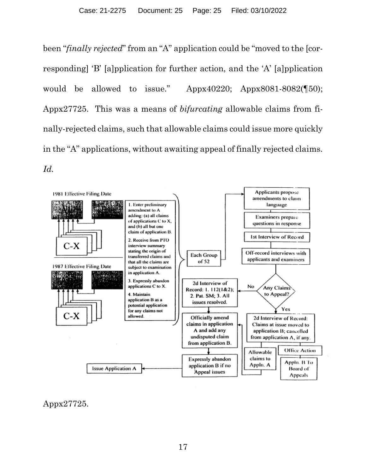been "*finally rejected*" from an "A" application could be "moved to the [corresponding] 'B' [a]pplication for further action, and the 'A' [a]pplication would be allowed to issue." Appx40220; Appx8081-8082(¶50); Appx27725. This was a means of *bifurcating* allowable claims from finally-rejected claims, such that allowable claims could issue more quickly in the "A" applications, without awaiting appeal of finally rejected claims. *Id.*



Appx27725.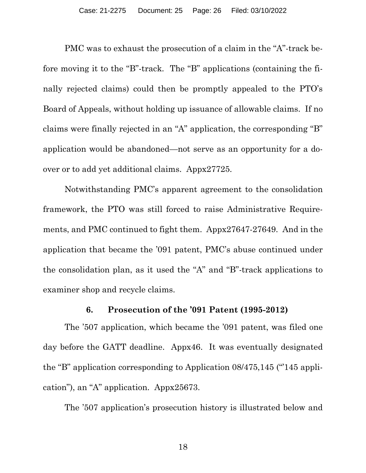PMC was to exhaust the prosecution of a claim in the "A"-track before moving it to the "B"-track. The "B" applications (containing the finally rejected claims) could then be promptly appealed to the PTO's Board of Appeals, without holding up issuance of allowable claims. If no claims were finally rejected in an "A" application, the corresponding "B" application would be abandoned—not serve as an opportunity for a doover or to add yet additional claims. Appx27725.

Notwithstanding PMC's apparent agreement to the consolidation framework, the PTO was still forced to raise Administrative Requirements, and PMC continued to fight them. Appx27647-27649. And in the application that became the '091 patent, PMC's abuse continued under the consolidation plan, as it used the "A" and "B"-track applications to examiner shop and recycle claims.

#### **6. Prosecution of the '091 Patent (1995-2012)**

The '507 application, which became the '091 patent, was filed one day before the GATT deadline. Appx46. It was eventually designated the "B" application corresponding to Application 08/475,145 ("145 application"), an "A" application. Appx25673.

The '507 application's prosecution history is illustrated below and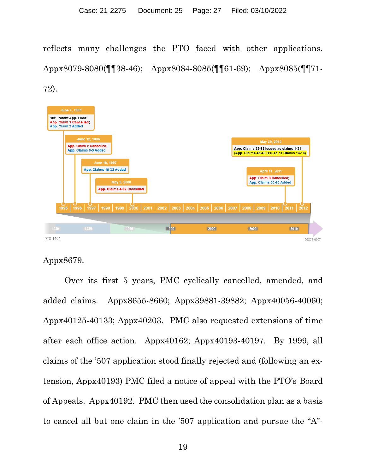reflects many challenges the PTO faced with other applications. Appx8079-8080(¶¶38-46); Appx8084-8085(¶¶61-69); Appx8085(¶¶71- 72).



## Appx8679.

Over its first 5 years, PMC cyclically cancelled, amended, and added claims. Appx8655-8660; Appx39881-39882; Appx40056-40060; Appx40125-40133; Appx40203. PMC also requested extensions of time after each office action. Appx40162; Appx40193-40197. By 1999, all claims of the '507 application stood finally rejected and (following an extension, Appx40193) PMC filed a notice of appeal with the PTO's Board of Appeals. Appx40192. PMC then used the consolidation plan as a basis to cancel all but one claim in the '507 application and pursue the "A"-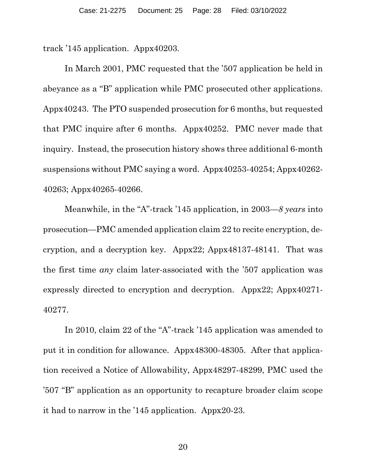track '145 application. Appx40203.

In March 2001, PMC requested that the '507 application be held in abeyance as a "B" application while PMC prosecuted other applications. Appx40243. The PTO suspended prosecution for 6 months, but requested that PMC inquire after 6 months. Appx40252. PMC never made that inquiry. Instead, the prosecution history shows three additional 6-month suspensions without PMC saying a word. Appx40253-40254; Appx40262- 40263; Appx40265-40266.

Meanwhile, in the "A"-track '145 application, in 2003—*8 years* into prosecution—PMC amended application claim 22 to recite encryption, decryption, and a decryption key. Appx22; Appx48137-48141. That was the first time *any* claim later-associated with the '507 application was expressly directed to encryption and decryption. Appx22; Appx40271- 40277.

In 2010, claim 22 of the "A"-track '145 application was amended to put it in condition for allowance. Appx48300-48305. After that application received a Notice of Allowability, Appx48297-48299, PMC used the '507 "B" application as an opportunity to recapture broader claim scope it had to narrow in the '145 application. Appx20-23.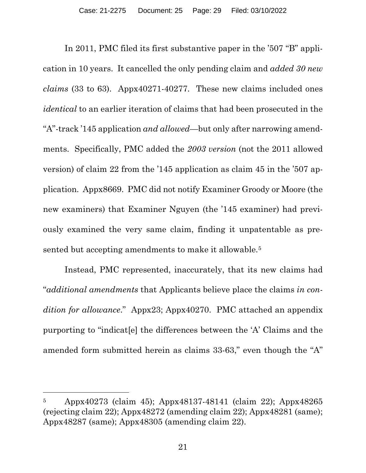In 2011, PMC filed its first substantive paper in the '507 "B" application in 10 years. It cancelled the only pending claim and *added 30 new claims* (33 to 63). Appx40271-40277. These new claims included ones *identical* to an earlier iteration of claims that had been prosecuted in the "A"-track '145 application *and allowed*—but only after narrowing amendments. Specifically, PMC added the *2003 version* (not the 2011 allowed version) of claim 22 from the '145 application as claim 45 in the '507 application. Appx8669.PMC did not notify Examiner Groody or Moore (the new examiners) that Examiner Nguyen (the '145 examiner) had previously examined the very same claim, finding it unpatentable as presented but accepting amendments to make it allowable.<sup>5</sup>

Instead, PMC represented, inaccurately, that its new claims had "*additional amendments* that Applicants believe place the claims *in condition for allowance*." Appx23; Appx40270. PMC attached an appendix purporting to "indicat[e] the differences between the 'A' Claims and the amended form submitted herein as claims 33-63," even though the "A"

l

<sup>5</sup> Appx40273 (claim 45); Appx48137-48141 (claim 22); Appx48265 (rejecting claim 22); Appx48272 (amending claim 22); Appx48281 (same); Appx48287 (same); Appx48305 (amending claim 22).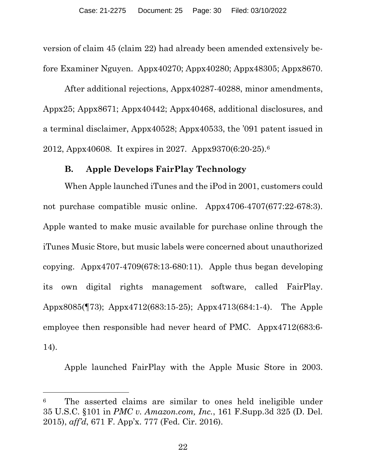version of claim 45 (claim 22) had already been amended extensively before Examiner Nguyen. Appx40270; Appx40280; Appx48305; Appx8670.

After additional rejections, Appx40287-40288, minor amendments, Appx25; Appx8671; Appx40442; Appx40468, additional disclosures, and a terminal disclaimer, Appx40528; Appx40533, the '091 patent issued in 2012, Appx40608. It expires in 2027. Appx9370(6:20-25).6

#### **B. Apple Develops FairPlay Technology**

When Apple launched iTunes and the iPod in 2001, customers could not purchase compatible music online. Appx4706-4707(677:22-678:3). Apple wanted to make music available for purchase online through the iTunes Music Store, but music labels were concerned about unauthorized copying. Appx4707-4709(678:13-680:11). Apple thus began developing its own digital rights management software, called FairPlay. Appx8085(¶73); Appx4712(683:15-25); Appx4713(684:1-4). The Apple employee then responsible had never heard of PMC. Appx4712(683:6- 14).

Apple launched FairPlay with the Apple Music Store in 2003.

l

<sup>6</sup> The asserted claims are similar to ones held ineligible under 35 U.S.C. §101 in *PMC v. Amazon.com, Inc.*, 161 F.Supp.3d 325 (D. Del. 2015), *aff'd*, 671 F. App'x. 777 (Fed. Cir. 2016).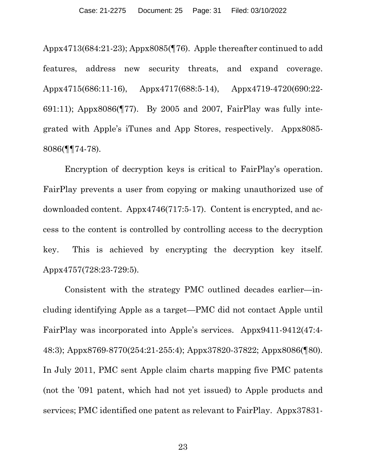Appx4713(684:21-23); Appx8085(¶76). Apple thereafter continued to add features, address new security threats, and expand coverage. Appx4715(686:11-16), Appx4717(688:5-14), Appx4719-4720(690:22- 691:11); Appx8086(¶77). By 2005 and 2007, FairPlay was fully integrated with Apple's iTunes and App Stores, respectively. Appx8085- 8086(¶¶74-78).

Encryption of decryption keys is critical to FairPlay's operation. FairPlay prevents a user from copying or making unauthorized use of downloaded content. Appx4746(717:5-17). Content is encrypted, and access to the content is controlled by controlling access to the decryption key. This is achieved by encrypting the decryption key itself. Appx4757(728:23-729:5).

Consistent with the strategy PMC outlined decades earlier—including identifying Apple as a target—PMC did not contact Apple until FairPlay was incorporated into Apple's services. Appx9411-9412(47:4- 48:3); Appx8769-8770(254:21-255:4); Appx37820-37822; Appx8086(¶80). In July 2011, PMC sent Apple claim charts mapping five PMC patents (not the '091 patent, which had not yet issued) to Apple products and services; PMC identified one patent as relevant to FairPlay. Appx37831-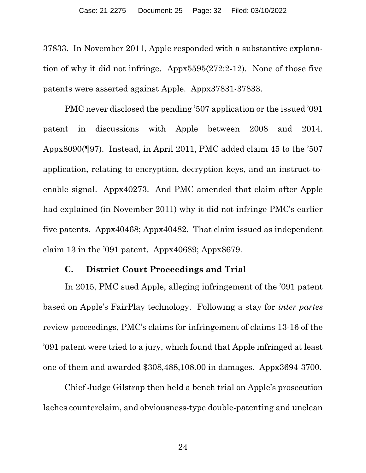37833. In November 2011, Apple responded with a substantive explanation of why it did not infringe. Appx5595(272:2-12). None of those five patents were asserted against Apple. Appx37831-37833.

PMC never disclosed the pending '507 application or the issued '091 patent in discussions with Apple between 2008 and 2014. Appx8090(¶97). Instead, in April 2011, PMC added claim 45 to the '507 application, relating to encryption, decryption keys, and an instruct-toenable signal. Appx40273. And PMC amended that claim after Apple had explained (in November 2011) why it did not infringe PMC's earlier five patents. Appx40468; Appx40482. That claim issued as independent claim 13 in the  $'091$  patent. Appx40689; Appx8679.

#### **C. District Court Proceedings and Trial**

In 2015, PMC sued Apple, alleging infringement of the '091 patent based on Apple's FairPlay technology. Following a stay for *inter partes* review proceedings, PMC's claims for infringement of claims 13-16 of the '091 patent were tried to a jury, which found that Apple infringed at least one of them and awarded \$308,488,108.00 in damages. Appx3694-3700.

Chief Judge Gilstrap then held a bench trial on Apple's prosecution laches counterclaim, and obviousness-type double-patenting and unclean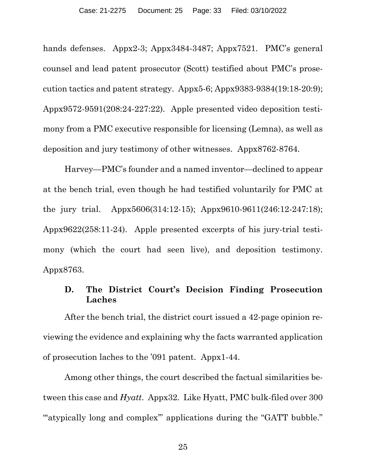hands defenses. Appx2-3; Appx3484-3487; Appx7521. PMC's general counsel and lead patent prosecutor (Scott) testified about PMC's prosecution tactics and patent strategy. Appx5-6; Appx9383-9384(19:18-20:9); Appx9572-9591(208:24-227:22). Apple presented video deposition testimony from a PMC executive responsible for licensing (Lemna), as well as deposition and jury testimony of other witnesses. Appx8762-8764.

Harvey—PMC's founder and a named inventor—declined to appear at the bench trial, even though he had testified voluntarily for PMC at the jury trial. Appx5606(314:12-15); Appx9610-9611(246:12-247:18); Appx9622(258:11-24). Apple presented excerpts of his jury-trial testimony (which the court had seen live), and deposition testimony. Appx8763.

## **D. The District Court's Decision Finding Prosecution Laches**

After the bench trial, the district court issued a 42-page opinion reviewing the evidence and explaining why the facts warranted application of prosecution laches to the '091 patent. Appx1-44.

Among other things, the court described the factual similarities between this case and *Hyatt*. Appx32. Like Hyatt, PMC bulk-filed over 300 "'atypically long and complex'" applications during the "GATT bubble."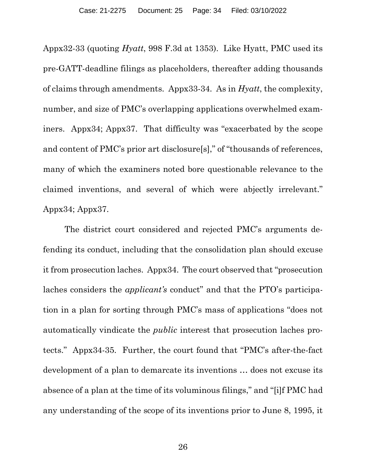Appx32-33 (quoting *Hyatt*, 998 F.3d at 1353). Like Hyatt, PMC used its pre-GATT-deadline filings as placeholders, thereafter adding thousands of claims through amendments. Appx33-34. As in *Hyatt*, the complexity, number, and size of PMC's overlapping applications overwhelmed examiners. Appx34; Appx37. That difficulty was "exacerbated by the scope and content of PMC's prior art disclosure[s]," of "thousands of references, many of which the examiners noted bore questionable relevance to the claimed inventions, and several of which were abjectly irrelevant." Appx34; Appx37.

The district court considered and rejected PMC's arguments defending its conduct, including that the consolidation plan should excuse it from prosecution laches. Appx34. The court observed that "prosecution laches considers the *applicant's* conduct" and that the PTO's participation in a plan for sorting through PMC's mass of applications "does not automatically vindicate the *public* interest that prosecution laches protects." Appx34-35. Further, the court found that "PMC's after-the-fact development of a plan to demarcate its inventions … does not excuse its absence of a plan at the time of its voluminous filings," and "[i]f PMC had any understanding of the scope of its inventions prior to June 8, 1995, it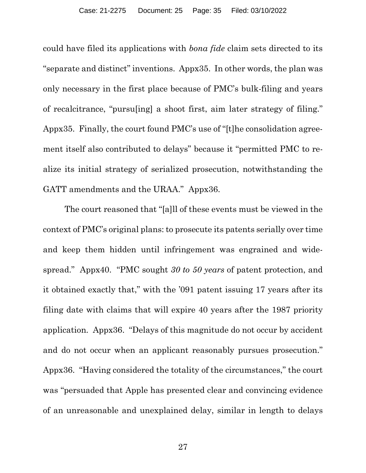could have filed its applications with *bona fide* claim sets directed to its "separate and distinct" inventions. Appx35. In other words, the plan was only necessary in the first place because of PMC's bulk-filing and years of recalcitrance, "pursu[ing] a shoot first, aim later strategy of filing." Appx35. Finally, the court found PMC's use of "[t]he consolidation agreement itself also contributed to delays" because it "permitted PMC to realize its initial strategy of serialized prosecution, notwithstanding the GATT amendments and the URAA." Appx36.

The court reasoned that "[a]ll of these events must be viewed in the context of PMC's original plans: to prosecute its patents serially over time and keep them hidden until infringement was engrained and widespread." Appx40. "PMC sought *30 to 50 years* of patent protection, and it obtained exactly that," with the '091 patent issuing 17 years after its filing date with claims that will expire 40 years after the 1987 priority application. Appx36. "Delays of this magnitude do not occur by accident and do not occur when an applicant reasonably pursues prosecution." Appx36. "Having considered the totality of the circumstances," the court was "persuaded that Apple has presented clear and convincing evidence of an unreasonable and unexplained delay, similar in length to delays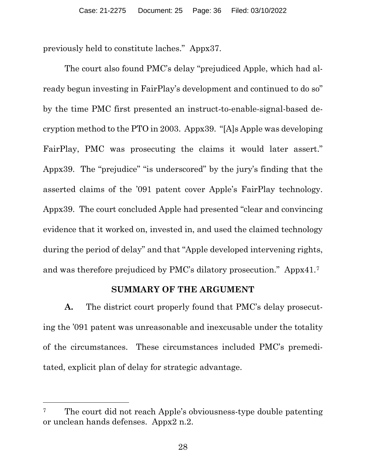previously held to constitute laches." Appx37.

The court also found PMC's delay "prejudiced Apple, which had already begun investing in FairPlay's development and continued to do so" by the time PMC first presented an instruct-to-enable-signal-based decryption method to the PTO in 2003. Appx39. "[A]s Apple was developing FairPlay, PMC was prosecuting the claims it would later assert." Appx39. The "prejudice" "is underscored" by the jury's finding that the asserted claims of the '091 patent cover Apple's FairPlay technology. Appx39. The court concluded Apple had presented "clear and convincing evidence that it worked on, invested in, and used the claimed technology during the period of delay" and that "Apple developed intervening rights, and was therefore prejudiced by PMC's dilatory prosecution." Appx41.7

### **SUMMARY OF THE ARGUMENT**

**A.** The district court properly found that PMC's delay prosecuting the '091 patent was unreasonable and inexcusable under the totality of the circumstances. These circumstances included PMC's premeditated, explicit plan of delay for strategic advantage.

 $\overline{a}$ 

<sup>&</sup>lt;sup>7</sup> The court did not reach Apple's obviousness-type double patenting or unclean hands defenses. Appx2 n.2.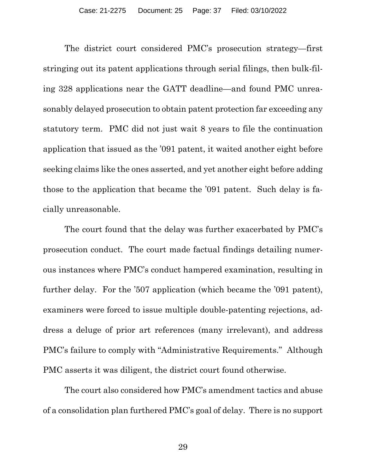The district court considered PMC's prosecution strategy—first stringing out its patent applications through serial filings, then bulk-filing 328 applications near the GATT deadline—and found PMC unreasonably delayed prosecution to obtain patent protection far exceeding any statutory term. PMC did not just wait 8 years to file the continuation application that issued as the '091 patent, it waited another eight before seeking claims like the ones asserted, and yet another eight before adding those to the application that became the '091 patent. Such delay is facially unreasonable.

The court found that the delay was further exacerbated by PMC's prosecution conduct. The court made factual findings detailing numerous instances where PMC's conduct hampered examination, resulting in further delay. For the '507 application (which became the '091 patent), examiners were forced to issue multiple double-patenting rejections, address a deluge of prior art references (many irrelevant), and address PMC's failure to comply with "Administrative Requirements." Although PMC asserts it was diligent, the district court found otherwise.

The court also considered how PMC's amendment tactics and abuse of a consolidation plan furthered PMC's goal of delay. There is no support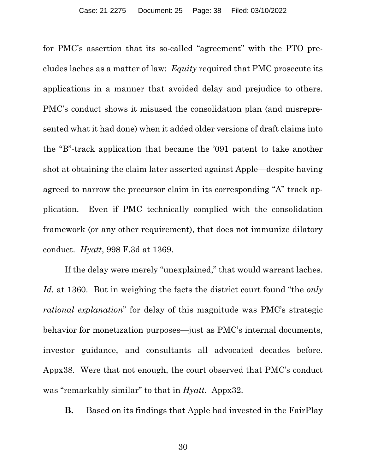for PMC's assertion that its so-called "agreement" with the PTO precludes laches as a matter of law: *Equity* required that PMC prosecute its applications in a manner that avoided delay and prejudice to others. PMC's conduct shows it misused the consolidation plan (and misrepresented what it had done) when it added older versions of draft claims into the "B"-track application that became the '091 patent to take another shot at obtaining the claim later asserted against Apple—despite having agreed to narrow the precursor claim in its corresponding "A" track application. Even if PMC technically complied with the consolidation framework (or any other requirement), that does not immunize dilatory conduct. *Hyatt*, 998 F.3d at 1369.

If the delay were merely "unexplained," that would warrant laches. *Id.* at 1360. But in weighing the facts the district court found "the *only rational explanation*" for delay of this magnitude was PMC's strategic behavior for monetization purposes—just as PMC's internal documents, investor guidance, and consultants all advocated decades before. Appx38. Were that not enough, the court observed that PMC's conduct was "remarkably similar" to that in *Hyatt*. Appx32.

**B.** Based on its findings that Apple had invested in the FairPlay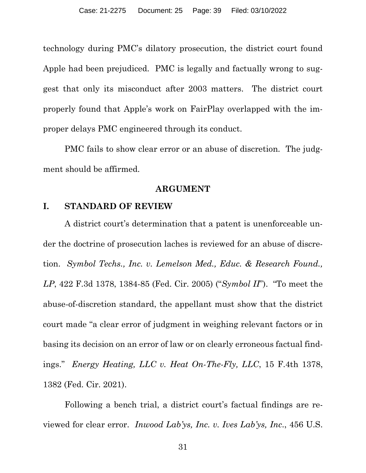technology during PMC's dilatory prosecution, the district court found Apple had been prejudiced. PMC is legally and factually wrong to suggest that only its misconduct after 2003 matters. The district court properly found that Apple's work on FairPlay overlapped with the improper delays PMC engineered through its conduct.

PMC fails to show clear error or an abuse of discretion. The judgment should be affirmed.

#### **ARGUMENT**

#### **I. STANDARD OF REVIEW**

A district court's determination that a patent is unenforceable under the doctrine of prosecution laches is reviewed for an abuse of discretion. *Symbol Techs., Inc. v. Lemelson Med., Educ. & Research Found., LP*, 422 F.3d 1378, 1384-85 (Fed. Cir. 2005) ("*Symbol II*"). "To meet the abuse-of-discretion standard, the appellant must show that the district court made "a clear error of judgment in weighing relevant factors or in basing its decision on an error of law or on clearly erroneous factual findings." *Energy Heating, LLC v. Heat On-The-Fly, LLC*, 15 F.4th 1378, 1382 (Fed. Cir. 2021).

Following a bench trial, a district court's factual findings are reviewed for clear error. *Inwood Lab'ys, Inc. v. Ives Lab'ys, Inc*., 456 U.S.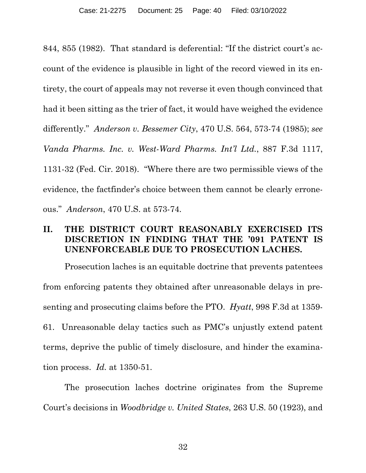844, 855 (1982). That standard is deferential: "If the district court's account of the evidence is plausible in light of the record viewed in its entirety, the court of appeals may not reverse it even though convinced that had it been sitting as the trier of fact, it would have weighed the evidence differently." *Anderson v. Bessemer City*, 470 U.S. 564, 573-74 (1985); *see Vanda Pharms. Inc. v. West-Ward Pharms. Int'l Ltd.*, 887 F.3d 1117, 1131-32 (Fed. Cir. 2018). "Where there are two permissible views of the evidence, the factfinder's choice between them cannot be clearly erroneous." *Anderson*, 470 U.S. at 573-74.

## **II. THE DISTRICT COURT REASONABLY EXERCISED ITS DISCRETION IN FINDING THAT THE '091 PATENT IS UNENFORCEABLE DUE TO PROSECUTION LACHES.**

Prosecution laches is an equitable doctrine that prevents patentees from enforcing patents they obtained after unreasonable delays in presenting and prosecuting claims before the PTO. *Hyatt*, 998 F.3d at 1359- 61. Unreasonable delay tactics such as PMC's unjustly extend patent terms, deprive the public of timely disclosure, and hinder the examination process. *Id.* at 1350-51.

The prosecution laches doctrine originates from the Supreme Court's decisions in *Woodbridge v. United States*, 263 U.S. 50 (1923), and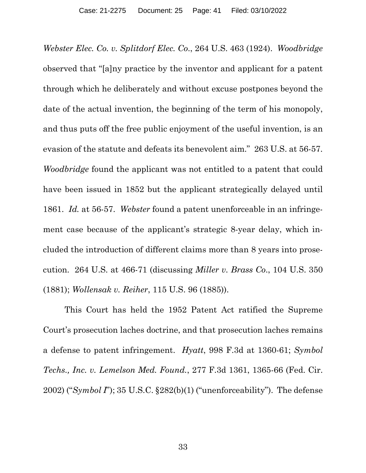*Webster Elec. Co. v. Splitdorf Elec. Co*., 264 U.S. 463 (1924). *Woodbridge* observed that "[a]ny practice by the inventor and applicant for a patent through which he deliberately and without excuse postpones beyond the date of the actual invention, the beginning of the term of his monopoly, and thus puts off the free public enjoyment of the useful invention, is an evasion of the statute and defeats its benevolent aim." 263 U.S. at 56-57. *Woodbridge* found the applicant was not entitled to a patent that could have been issued in 1852 but the applicant strategically delayed until 1861. *Id.* at 56-57. *Webster* found a patent unenforceable in an infringement case because of the applicant's strategic 8-year delay, which included the introduction of different claims more than 8 years into prosecution. 264 U.S. at 466-71 (discussing *Miller v. Brass Co*., 104 U.S. 350 (1881); *Wollensak v. Reiher*, 115 U.S. 96 (1885)).

This Court has held the 1952 Patent Act ratified the Supreme Court's prosecution laches doctrine, and that prosecution laches remains a defense to patent infringement. *Hyatt*, 998 F.3d at 1360-61; *Symbol Techs., Inc. v. Lemelson Med. Found.*, 277 F.3d 1361, 1365-66 (Fed. Cir. 2002) ("*Symbol I*"); 35 U.S.C. §282(b)(1) ("unenforceability"). The defense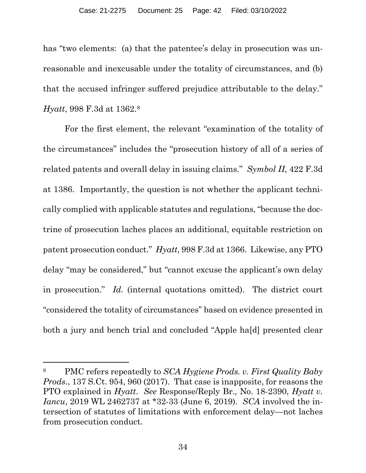has "two elements: (a) that the patentee's delay in prosecution was unreasonable and inexcusable under the totality of circumstances, and (b) that the accused infringer suffered prejudice attributable to the delay." *Hyatt*, 998 F.3d at 1362.8

For the first element, the relevant "examination of the totality of the circumstances" includes the "prosecution history of all of a series of related patents and overall delay in issuing claims." *Symbol II*, 422 F.3d at 1386. Importantly, the question is not whether the applicant technically complied with applicable statutes and regulations, "because the doctrine of prosecution laches places an additional, equitable restriction on patent prosecution conduct." *Hyatt*, 998 F.3d at 1366. Likewise, any PTO delay "may be considered," but "cannot excuse the applicant's own delay in prosecution." *Id.* (internal quotations omitted). The district court "considered the totality of circumstances" based on evidence presented in both a jury and bench trial and concluded "Apple ha[d] presented clear

 $\overline{a}$ 

<sup>8</sup> PMC refers repeatedly to *SCA Hygiene Prods. v. First Quality Baby Prods*., 137 S.Ct. 954, 960 (2017). That case is inapposite, for reasons the PTO explained in *Hyatt*. *See* Response/Reply Br., No. 18-2390, *Hyatt v. Iancu*, 2019 WL 2462737 at \*32-33 (June 6, 2019). *SCA* involved the intersection of statutes of limitations with enforcement delay—not laches from prosecution conduct.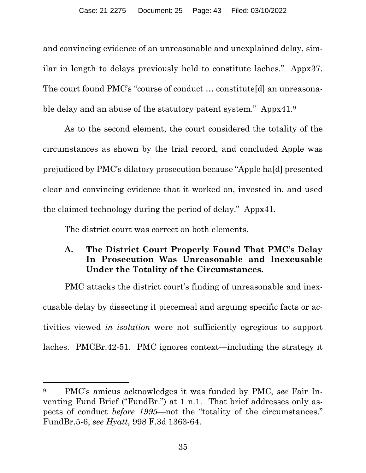and convincing evidence of an unreasonable and unexplained delay, similar in length to delays previously held to constitute laches." Appx37. The court found PMC's "course of conduct … constitute[d] an unreasonable delay and an abuse of the statutory patent system." Appx41.<sup>9</sup>

As to the second element, the court considered the totality of the circumstances as shown by the trial record, and concluded Apple was prejudiced by PMC's dilatory prosecution because "Apple ha[d] presented clear and convincing evidence that it worked on, invested in, and used the claimed technology during the period of delay." Appx41.

The district court was correct on both elements.

 $\overline{a}$ 

# **A. The District Court Properly Found That PMC's Delay In Prosecution Was Unreasonable and Inexcusable Under the Totality of the Circumstances.**

PMC attacks the district court's finding of unreasonable and inexcusable delay by dissecting it piecemeal and arguing specific facts or activities viewed *in isolation* were not sufficiently egregious to support laches. PMCBr.42-51. PMC ignores context—including the strategy it

<sup>9</sup> PMC's amicus acknowledges it was funded by PMC, *see* Fair Inventing Fund Brief ("FundBr.") at 1 n.1. That brief addresses only aspects of conduct *before 1995*—not the "totality of the circumstances." FundBr.5-6; *see Hyatt*, 998 F.3d 1363-64.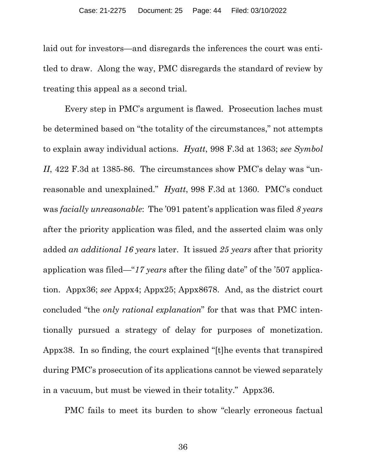laid out for investors—and disregards the inferences the court was entitled to draw. Along the way, PMC disregards the standard of review by treating this appeal as a second trial.

Every step in PMC's argument is flawed. Prosecution laches must be determined based on "the totality of the circumstances," not attempts to explain away individual actions. *Hyatt*, 998 F.3d at 1363; *see Symbol II*, 422 F.3d at 1385-86. The circumstances show PMC's delay was "unreasonable and unexplained." *Hyatt*, 998 F.3d at 1360. PMC's conduct was *facially unreasonable*: The '091 patent's application was filed *8 years* after the priority application was filed, and the asserted claim was only added *an additional 16 years* later. It issued *25 years* after that priority application was filed—"*17 years* after the filing date" of the '507 application. Appx36; *see* Appx4; Appx25; Appx8678. And, as the district court concluded "the *only rational explanation*" for that was that PMC intentionally pursued a strategy of delay for purposes of monetization. Appx38. In so finding, the court explained "[t]he events that transpired during PMC's prosecution of its applications cannot be viewed separately in a vacuum, but must be viewed in their totality." Appx36.

PMC fails to meet its burden to show "clearly erroneous factual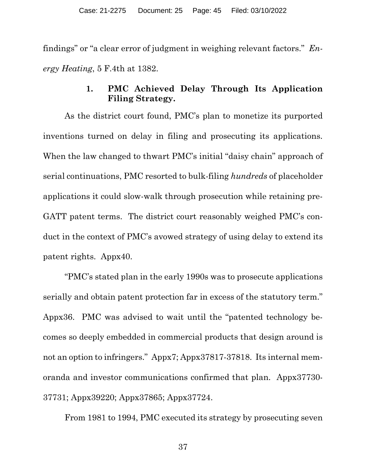findings" or "a clear error of judgment in weighing relevant factors." *Energy Heating*, 5 F.4th at 1382.

## **1. PMC Achieved Delay Through Its Application Filing Strategy.**

As the district court found, PMC's plan to monetize its purported inventions turned on delay in filing and prosecuting its applications. When the law changed to thwart PMC's initial "daisy chain" approach of serial continuations, PMC resorted to bulk-filing *hundreds* of placeholder applications it could slow-walk through prosecution while retaining pre-GATT patent terms. The district court reasonably weighed PMC's conduct in the context of PMC's avowed strategy of using delay to extend its patent rights. Appx40.

"PMC's stated plan in the early 1990s was to prosecute applications serially and obtain patent protection far in excess of the statutory term." Appx36. PMC was advised to wait until the "patented technology becomes so deeply embedded in commercial products that design around is not an option to infringers." Appx7; Appx37817-37818. Its internal memoranda and investor communications confirmed that plan. Appx37730- 37731; Appx39220; Appx37865; Appx37724.

From 1981 to 1994, PMC executed its strategy by prosecuting seven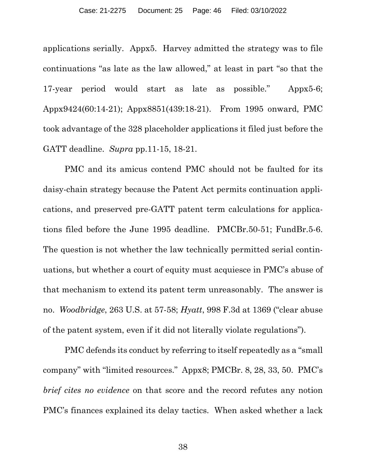applications serially. Appx5. Harvey admitted the strategy was to file continuations "as late as the law allowed," at least in part "so that the 17-year period would start as late as possible." Appx5-6; Appx9424(60:14-21); Appx8851(439:18-21). From 1995 onward, PMC took advantage of the 328 placeholder applications it filed just before the GATT deadline. *Supra* pp.11-15, 18-21.

PMC and its amicus contend PMC should not be faulted for its daisy-chain strategy because the Patent Act permits continuation applications, and preserved pre-GATT patent term calculations for applications filed before the June 1995 deadline. PMCBr.50-51; FundBr.5-6. The question is not whether the law technically permitted serial continuations, but whether a court of equity must acquiesce in PMC's abuse of that mechanism to extend its patent term unreasonably. The answer is no. *Woodbridge*, 263 U.S. at 57-58; *Hyatt*, 998 F.3d at 1369 ("clear abuse of the patent system, even if it did not literally violate regulations").

PMC defends its conduct by referring to itself repeatedly as a "small company" with "limited resources." Appx8; PMCBr. 8, 28, 33, 50. PMC's *brief cites no evidence* on that score and the record refutes any notion PMC's finances explained its delay tactics. When asked whether a lack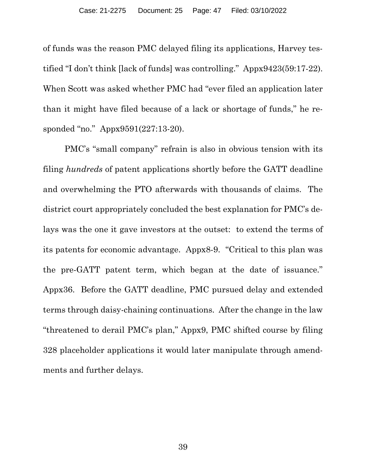of funds was the reason PMC delayed filing its applications, Harvey testified "I don't think [lack of funds] was controlling." Appx9423(59:17-22). When Scott was asked whether PMC had "ever filed an application later than it might have filed because of a lack or shortage of funds," he responded "no." Appx9591(227:13-20).

PMC's "small company" refrain is also in obvious tension with its filing *hundreds* of patent applications shortly before the GATT deadline and overwhelming the PTO afterwards with thousands of claims. The district court appropriately concluded the best explanation for PMC's delays was the one it gave investors at the outset: to extend the terms of its patents for economic advantage. Appx8-9. "Critical to this plan was the pre-GATT patent term, which began at the date of issuance." Appx36. Before the GATT deadline, PMC pursued delay and extended terms through daisy-chaining continuations. After the change in the law "threatened to derail PMC's plan," Appx9, PMC shifted course by filing 328 placeholder applications it would later manipulate through amendments and further delays.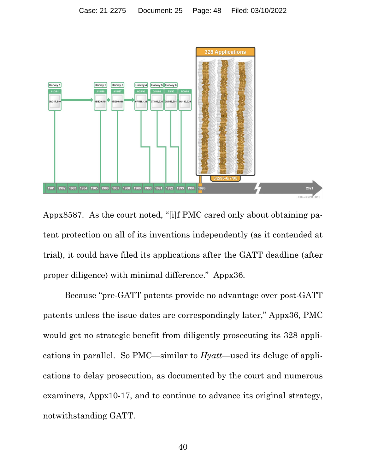

Appx8587. As the court noted, "[i]f PMC cared only about obtaining patent protection on all of its inventions independently (as it contended at trial), it could have filed its applications after the GATT deadline (after proper diligence) with minimal difference." Appx36.

Because "pre-GATT patents provide no advantage over post-GATT patents unless the issue dates are correspondingly later," Appx36, PMC would get no strategic benefit from diligently prosecuting its 328 applications in parallel. So PMC—similar to *Hyatt*—used its deluge of applications to delay prosecution, as documented by the court and numerous examiners, Appx10-17, and to continue to advance its original strategy, notwithstanding GATT.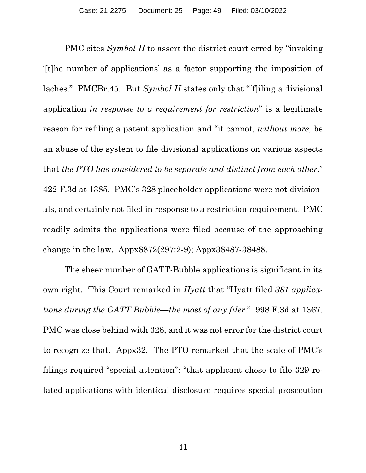PMC cites *Symbol II* to assert the district court erred by "invoking '[t]he number of applications' as a factor supporting the imposition of laches." PMCBr.45. But *Symbol II* states only that "[f]iling a divisional application *in response to a requirement for restriction*" is a legitimate reason for refiling a patent application and "it cannot, *without more*, be an abuse of the system to file divisional applications on various aspects that *the PTO has considered to be separate and distinct from each other*." 422 F.3d at 1385. PMC's 328 placeholder applications were not divisionals, and certainly not filed in response to a restriction requirement. PMC readily admits the applications were filed because of the approaching change in the law. Appx8872(297:2-9); Appx38487-38488.

The sheer number of GATT-Bubble applications is significant in its own right. This Court remarked in *Hyatt* that "Hyatt filed *381 applications during the GATT Bubble—the most of any filer*." 998 F.3d at 1367. PMC was close behind with 328, and it was not error for the district court to recognize that. Appx32. The PTO remarked that the scale of PMC's filings required "special attention": "that applicant chose to file 329 related applications with identical disclosure requires special prosecution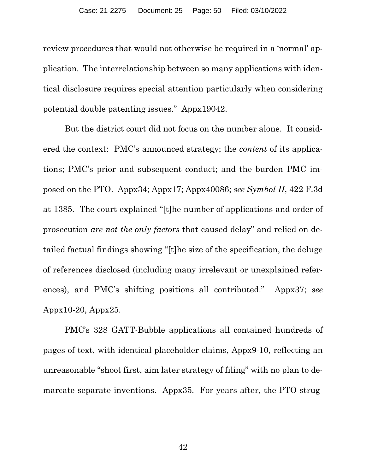review procedures that would not otherwise be required in a 'normal' application. The interrelationship between so many applications with identical disclosure requires special attention particularly when considering potential double patenting issues." Appx19042.

But the district court did not focus on the number alone. It considered the context: PMC's announced strategy; the *content* of its applications; PMC's prior and subsequent conduct; and the burden PMC imposed on the PTO. Appx34; Appx17; Appx40086; *see Symbol II*, 422 F.3d at 1385. The court explained "[t]he number of applications and order of prosecution *are not the only factors* that caused delay" and relied on detailed factual findings showing "[t]he size of the specification, the deluge of references disclosed (including many irrelevant or unexplained references), and PMC's shifting positions all contributed." Appx37; *see* Appx10-20, Appx25.

PMC's 328 GATT-Bubble applications all contained hundreds of pages of text, with identical placeholder claims, Appx9-10, reflecting an unreasonable "shoot first, aim later strategy of filing" with no plan to demarcate separate inventions. Appx35. For years after, the PTO strug-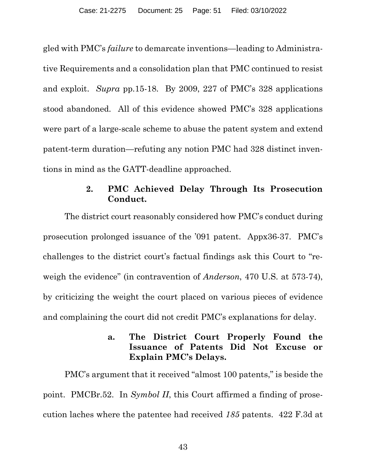gled with PMC's *failure* to demarcate inventions—leading to Administrative Requirements and a consolidation plan that PMC continued to resist and exploit. *Supra* pp.15-18. By 2009, 227 of PMC's 328 applications stood abandoned. All of this evidence showed PMC's 328 applications were part of a large-scale scheme to abuse the patent system and extend patent-term duration—refuting any notion PMC had 328 distinct inventions in mind as the GATT-deadline approached.

#### **2. PMC Achieved Delay Through Its Prosecution Conduct.**

The district court reasonably considered how PMC's conduct during prosecution prolonged issuance of the '091 patent. Appx36-37. PMC's challenges to the district court's factual findings ask this Court to "reweigh the evidence" (in contravention of *Anderson*, 470 U.S. at 573-74), by criticizing the weight the court placed on various pieces of evidence and complaining the court did not credit PMC's explanations for delay.

### **a. The District Court Properly Found the Issuance of Patents Did Not Excuse or Explain PMC's Delays.**

PMC's argument that it received "almost 100 patents," is beside the point. PMCBr.52. In *Symbol II*, this Court affirmed a finding of prosecution laches where the patentee had received *185* patents. 422 F.3d at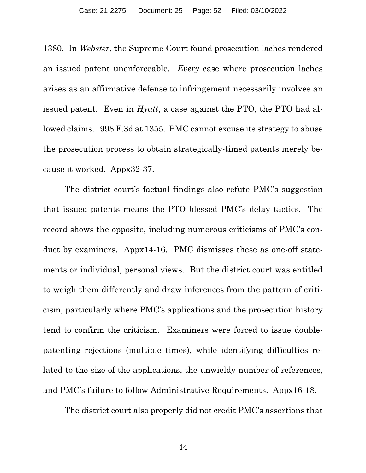1380. In *Webster*, the Supreme Court found prosecution laches rendered an issued patent unenforceable. *Every* case where prosecution laches arises as an affirmative defense to infringement necessarily involves an issued patent. Even in *Hyatt*, a case against the PTO, the PTO had allowed claims. 998 F.3d at 1355. PMC cannot excuse its strategy to abuse the prosecution process to obtain strategically-timed patents merely because it worked. Appx32-37.

The district court's factual findings also refute PMC's suggestion that issued patents means the PTO blessed PMC's delay tactics. The record shows the opposite, including numerous criticisms of PMC's conduct by examiners. Appx14-16. PMC dismisses these as one-off statements or individual, personal views. But the district court was entitled to weigh them differently and draw inferences from the pattern of criticism, particularly where PMC's applications and the prosecution history tend to confirm the criticism. Examiners were forced to issue doublepatenting rejections (multiple times), while identifying difficulties related to the size of the applications, the unwieldy number of references, and PMC's failure to follow Administrative Requirements. Appx16-18.

The district court also properly did not credit PMC's assertions that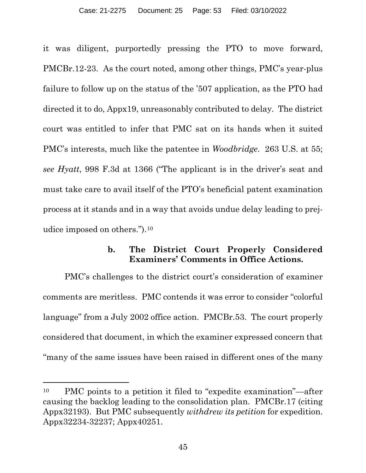it was diligent, purportedly pressing the PTO to move forward, PMCBr.12-23. As the court noted, among other things, PMC's year-plus failure to follow up on the status of the '507 application, as the PTO had directed it to do, Appx19, unreasonably contributed to delay. The district court was entitled to infer that PMC sat on its hands when it suited PMC's interests, much like the patentee in *Woodbridge*. 263 U.S. at 55; *see Hyatt*, 998 F.3d at 1366 ("The applicant is in the driver's seat and must take care to avail itself of the PTO's beneficial patent examination process at it stands and in a way that avoids undue delay leading to prejudice imposed on others.").10

#### **b. The District Court Properly Considered Examiners' Comments in Office Actions.**

PMC's challenges to the district court's consideration of examiner comments are meritless. PMC contends it was error to consider "colorful language" from a July 2002 office action. PMCBr.53. The court properly considered that document, in which the examiner expressed concern that "many of the same issues have been raised in different ones of the many

 $\overline{a}$ 

<sup>10</sup> PMC points to a petition it filed to "expedite examination"—after causing the backlog leading to the consolidation plan. PMCBr.17 (citing Appx32193). But PMC subsequently *withdrew its petition* for expedition. Appx32234-32237; Appx40251.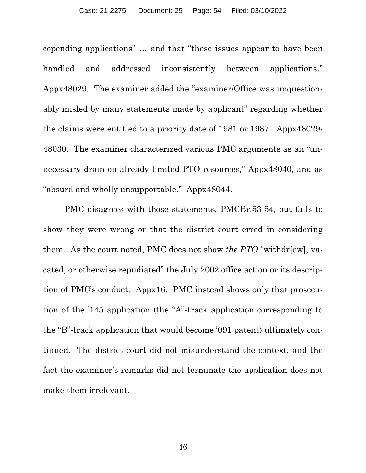copending applications" … and that "these issues appear to have been handled and addressed inconsistently between applications." Appx48029. The examiner added the "examiner/Office was unquestionably misled by many statements made by applicant" regarding whether the claims were entitled to a priority date of 1981 or 1987. Appx48029- 48030. The examiner characterized various PMC arguments as an "unnecessary drain on already limited PTO resources," Appx48040, and as "absurd and wholly unsupportable." Appx48044.

PMC disagrees with those statements, PMCBr.53-54, but fails to show they were wrong or that the district court erred in considering them. As the court noted, PMC does not show *the PTO* "withdr[ew], vacated, or otherwise repudiated" the July 2002 office action or its description of PMC's conduct. Appx16. PMC instead shows only that prosecution of the '145 application (the "A"-track application corresponding to the "B"-track application that would become '091 patent) ultimately continued. The district court did not misunderstand the context, and the fact the examiner's remarks did not terminate the application does not make them irrelevant.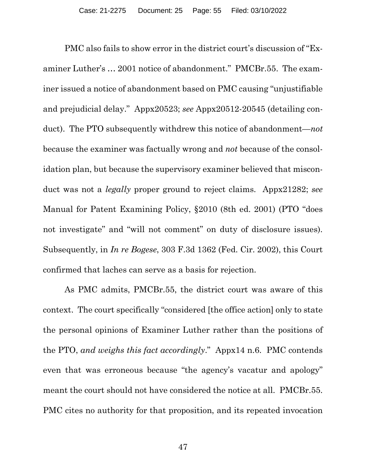PMC also fails to show error in the district court's discussion of "Examiner Luther's … 2001 notice of abandonment." PMCBr.55. The examiner issued a notice of abandonment based on PMC causing "unjustifiable and prejudicial delay." Appx20523; *see* Appx20512-20545 (detailing conduct). The PTO subsequently withdrew this notice of abandonment—*not* because the examiner was factually wrong and *not* because of the consolidation plan, but because the supervisory examiner believed that misconduct was not a *legally* proper ground to reject claims. Appx21282; *see*  Manual for Patent Examining Policy, §2010 (8th ed. 2001) (PTO "does not investigate" and "will not comment" on duty of disclosure issues). Subsequently, in *In re Bogese*, 303 F.3d 1362 (Fed. Cir. 2002), this Court confirmed that laches can serve as a basis for rejection.

As PMC admits, PMCBr.55, the district court was aware of this context. The court specifically "considered [the office action] only to state the personal opinions of Examiner Luther rather than the positions of the PTO, *and weighs this fact accordingly*." Appx14 n.6. PMC contends even that was erroneous because "the agency's vacatur and apology" meant the court should not have considered the notice at all. PMCBr.55. PMC cites no authority for that proposition, and its repeated invocation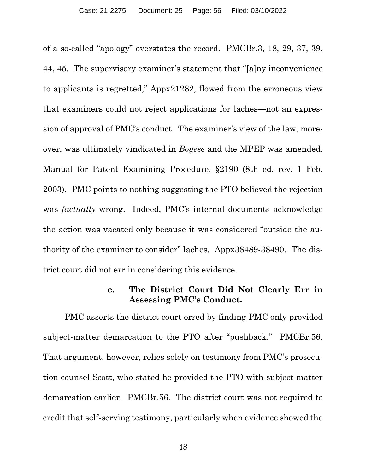of a so-called "apology" overstates the record. PMCBr.3, 18, 29, 37, 39, 44, 45. The supervisory examiner's statement that "[a]ny inconvenience to applicants is regretted," Appx21282, flowed from the erroneous view that examiners could not reject applications for laches—not an expression of approval of PMC's conduct. The examiner's view of the law, moreover, was ultimately vindicated in *Bogese* and the MPEP was amended. Manual for Patent Examining Procedure, §2190 (8th ed. rev. 1 Feb. 2003). PMC points to nothing suggesting the PTO believed the rejection was *factually* wrong. Indeed, PMC's internal documents acknowledge the action was vacated only because it was considered "outside the authority of the examiner to consider" laches. Appx38489-38490. The district court did not err in considering this evidence.

#### **c. The District Court Did Not Clearly Err in Assessing PMC's Conduct.**

PMC asserts the district court erred by finding PMC only provided subject-matter demarcation to the PTO after "pushback." PMCBr.56. That argument, however, relies solely on testimony from PMC's prosecution counsel Scott, who stated he provided the PTO with subject matter demarcation earlier. PMCBr.56. The district court was not required to credit that self-serving testimony, particularly when evidence showed the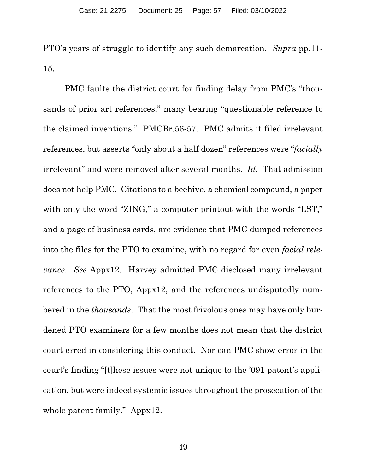PTO's years of struggle to identify any such demarcation. *Supra* pp.11- 15.

PMC faults the district court for finding delay from PMC's "thousands of prior art references," many bearing "questionable reference to the claimed inventions." PMCBr.56-57. PMC admits it filed irrelevant references, but asserts "only about a half dozen" references were "*facially* irrelevant" and were removed after several months. *Id.* That admission does not help PMC. Citations to a beehive, a chemical compound, a paper with only the word "ZING," a computer printout with the words "LST," and a page of business cards, are evidence that PMC dumped references into the files for the PTO to examine, with no regard for even *facial relevance*. *See* Appx12. Harvey admitted PMC disclosed many irrelevant references to the PTO, Appx12, and the references undisputedly numbered in the *thousands*. That the most frivolous ones may have only burdened PTO examiners for a few months does not mean that the district court erred in considering this conduct. Nor can PMC show error in the court's finding "[t]hese issues were not unique to the '091 patent's application, but were indeed systemic issues throughout the prosecution of the whole patent family." Appx12.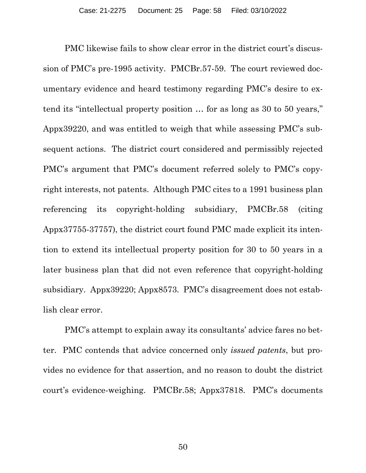PMC likewise fails to show clear error in the district court's discussion of PMC's pre-1995 activity. PMCBr.57-59. The court reviewed documentary evidence and heard testimony regarding PMC's desire to extend its "intellectual property position … for as long as 30 to 50 years," Appx39220, and was entitled to weigh that while assessing PMC's subsequent actions. The district court considered and permissibly rejected PMC's argument that PMC's document referred solely to PMC's copyright interests, not patents. Although PMC cites to a 1991 business plan referencing its copyright-holding subsidiary, PMCBr.58 (citing Appx37755-37757), the district court found PMC made explicit its intention to extend its intellectual property position for 30 to 50 years in a later business plan that did not even reference that copyright-holding subsidiary. Appx39220; Appx8573. PMC's disagreement does not establish clear error.

PMC's attempt to explain away its consultants' advice fares no better. PMC contends that advice concerned only *issued patents*, but provides no evidence for that assertion, and no reason to doubt the district court's evidence-weighing. PMCBr.58; Appx37818. PMC's documents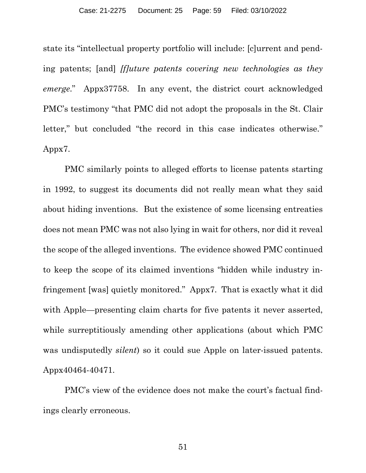state its "intellectual property portfolio will include: [c]urrent and pending patents; [and] *[f]uture patents covering new technologies as they emerge*." Appx37758. In any event, the district court acknowledged PMC's testimony "that PMC did not adopt the proposals in the St. Clair letter," but concluded "the record in this case indicates otherwise." Appx7.

PMC similarly points to alleged efforts to license patents starting in 1992, to suggest its documents did not really mean what they said about hiding inventions. But the existence of some licensing entreaties does not mean PMC was not also lying in wait for others, nor did it reveal the scope of the alleged inventions. The evidence showed PMC continued to keep the scope of its claimed inventions "hidden while industry infringement [was] quietly monitored." Appx7. That is exactly what it did with Apple—presenting claim charts for five patents it never asserted, while surreptitiously amending other applications (about which PMC was undisputedly *silent*) so it could sue Apple on later-issued patents. Appx40464-40471.

PMC's view of the evidence does not make the court's factual findings clearly erroneous.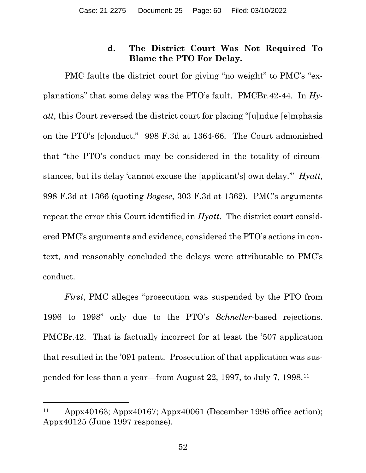## **d. The District Court Was Not Required To Blame the PTO For Delay.**

PMC faults the district court for giving "no weight" to PMC's "explanations" that some delay was the PTO's fault. PMCBr.42-44. In *Hyatt*, this Court reversed the district court for placing "[u]ndue [e]mphasis on the PTO's [c]onduct." 998 F.3d at 1364-66. The Court admonished that "the PTO's conduct may be considered in the totality of circumstances, but its delay 'cannot excuse the [applicant's] own delay.'" *Hyatt*, 998 F.3d at 1366 (quoting *Bogese*, 303 F.3d at 1362). PMC's arguments repeat the error this Court identified in *Hyatt*. The district court considered PMC's arguments and evidence, considered the PTO's actions in context, and reasonably concluded the delays were attributable to PMC's conduct.

*First*, PMC alleges "prosecution was suspended by the PTO from 1996 to 1998" only due to the PTO's *Schneller*-based rejections. PMCBr.42. That is factually incorrect for at least the '507 application that resulted in the '091 patent. Prosecution of that application was suspended for less than a year—from August 22, 1997, to July 7, 1998.11

<sup>11</sup> Appx40163; Appx40167; Appx40061 (December 1996 office action); Appx40125 (June 1997 response).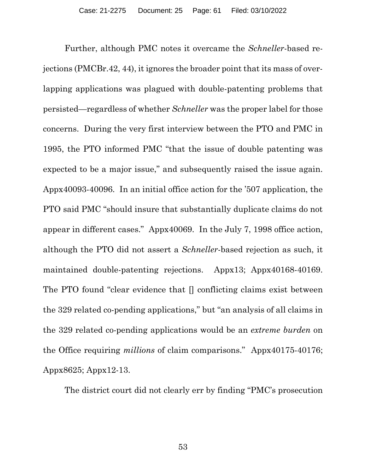Further, although PMC notes it overcame the *Schneller*-based rejections (PMCBr.42, 44), it ignores the broader point that its mass of overlapping applications was plagued with double-patenting problems that persisted—regardless of whether *Schneller* was the proper label for those concerns. During the very first interview between the PTO and PMC in 1995, the PTO informed PMC "that the issue of double patenting was expected to be a major issue," and subsequently raised the issue again. Appx40093-40096. In an initial office action for the '507 application, the PTO said PMC "should insure that substantially duplicate claims do not appear in different cases." Appx40069. In the July 7, 1998 office action, although the PTO did not assert a *Schneller*-based rejection as such, it maintained double-patenting rejections. Appx13; Appx40168-40169. The PTO found "clear evidence that [] conflicting claims exist between the 329 related co-pending applications," but "an analysis of all claims in the 329 related co-pending applications would be an *extreme burden* on the Office requiring *millions* of claim comparisons." Appx40175-40176; Appx8625; Appx12-13.

The district court did not clearly err by finding "PMC's prosecution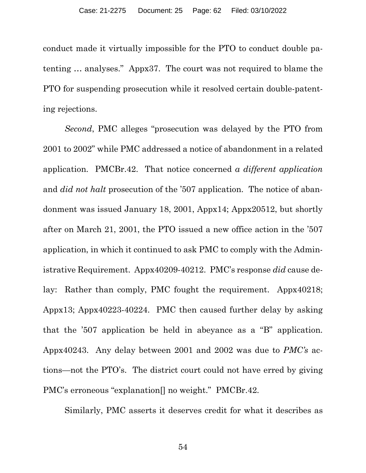conduct made it virtually impossible for the PTO to conduct double patenting … analyses." Appx37. The court was not required to blame the PTO for suspending prosecution while it resolved certain double-patenting rejections.

*Second*, PMC alleges "prosecution was delayed by the PTO from 2001 to 2002" while PMC addressed a notice of abandonment in a related application. PMCBr.42. That notice concerned *a different application* and *did not halt* prosecution of the '507 application. The notice of abandonment was issued January 18, 2001, Appx14; Appx20512, but shortly after on March 21, 2001, the PTO issued a new office action in the '507 application, in which it continued to ask PMC to comply with the Administrative Requirement. Appx40209-40212. PMC's response *did* cause delay: Rather than comply, PMC fought the requirement. Appx40218; Appx13; Appx40223-40224. PMC then caused further delay by asking that the '507 application be held in abeyance as a "B" application. Appx40243. Any delay between 2001 and 2002 was due to *PMC's* actions—not the PTO's. The district court could not have erred by giving PMC's erroneous "explanation[] no weight." PMCBr.42.

Similarly, PMC asserts it deserves credit for what it describes as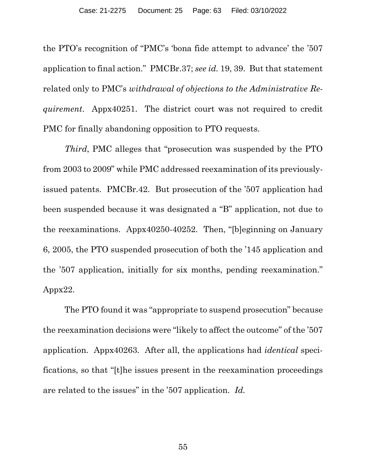the PTO's recognition of "PMC's 'bona fide attempt to advance' the '507 application to final action." PMCBr.37; *see id.* 19, 39. But that statement related only to PMC's *withdrawal of objections to the Administrative Requirement*. Appx40251. The district court was not required to credit PMC for finally abandoning opposition to PTO requests.

*Third*, PMC alleges that "prosecution was suspended by the PTO from 2003 to 2009" while PMC addressed reexamination of its previouslyissued patents. PMCBr.42. But prosecution of the '507 application had been suspended because it was designated a "B" application, not due to the reexaminations. Appx40250-40252. Then, "[b]eginning on January 6, 2005, the PTO suspended prosecution of both the '145 application and the '507 application, initially for six months, pending reexamination." Appx22.

The PTO found it was "appropriate to suspend prosecution" because the reexamination decisions were "likely to affect the outcome" of the '507 application. Appx40263. After all, the applications had *identical* specifications, so that "[t]he issues present in the reexamination proceedings are related to the issues" in the '507 application. *Id.*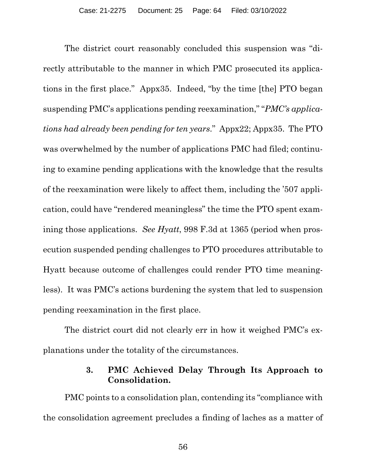The district court reasonably concluded this suspension was "directly attributable to the manner in which PMC prosecuted its applications in the first place." Appx35. Indeed, "by the time [the] PTO began suspending PMC's applications pending reexamination," "*PMC's applications had already been pending for ten years*." Appx22; Appx35. The PTO was overwhelmed by the number of applications PMC had filed; continuing to examine pending applications with the knowledge that the results of the reexamination were likely to affect them, including the '507 application, could have "rendered meaningless" the time the PTO spent examining those applications. *See Hyatt*, 998 F.3d at 1365 (period when prosecution suspended pending challenges to PTO procedures attributable to Hyatt because outcome of challenges could render PTO time meaningless). It was PMC's actions burdening the system that led to suspension pending reexamination in the first place.

The district court did not clearly err in how it weighed PMC's explanations under the totality of the circumstances.

#### **3. PMC Achieved Delay Through Its Approach to Consolidation.**

PMC points to a consolidation plan, contending its "compliance with the consolidation agreement precludes a finding of laches as a matter of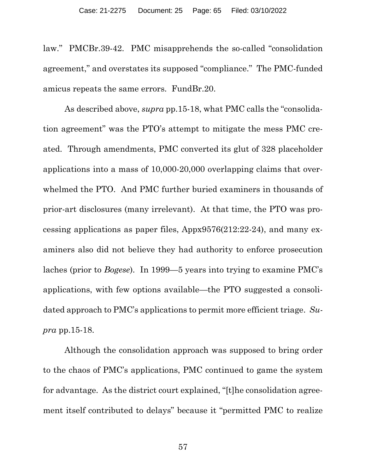law." PMCBr.39-42. PMC misapprehends the so-called "consolidation agreement," and overstates its supposed "compliance." The PMC-funded amicus repeats the same errors. FundBr.20.

As described above, *supra* pp.15-18, what PMC calls the "consolidation agreement" was the PTO's attempt to mitigate the mess PMC created. Through amendments, PMC converted its glut of 328 placeholder applications into a mass of 10,000-20,000 overlapping claims that overwhelmed the PTO. And PMC further buried examiners in thousands of prior-art disclosures (many irrelevant). At that time, the PTO was processing applications as paper files, Appx9576(212:22-24), and many examiners also did not believe they had authority to enforce prosecution laches (prior to *Bogese*). In 1999—5 years into trying to examine PMC's applications, with few options available—the PTO suggested a consolidated approach to PMC's applications to permit more efficient triage. *Supra* pp.15-18.

Although the consolidation approach was supposed to bring order to the chaos of PMC's applications, PMC continued to game the system for advantage. As the district court explained, "[t]he consolidation agreement itself contributed to delays" because it "permitted PMC to realize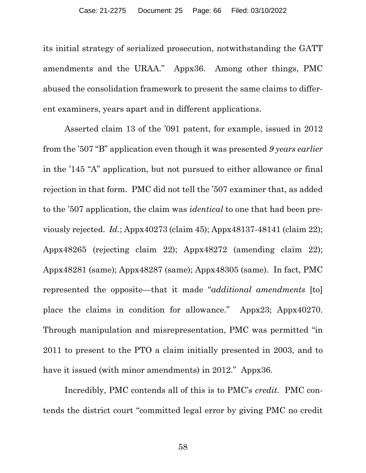its initial strategy of serialized prosecution, notwithstanding the GATT amendments and the URAA." Appx36. Among other things, PMC abused the consolidation framework to present the same claims to different examiners, years apart and in different applications.

Asserted claim 13 of the '091 patent, for example, issued in 2012 from the '507 "B" application even though it was presented *9 years earlier*  in the '145 "A" application, but not pursued to either allowance or final rejection in that form. PMC did not tell the '507 examiner that, as added to the '507 application, the claim was *identical* to one that had been previously rejected. *Id.*; Appx40273 (claim 45); Appx48137-48141 (claim 22); Appx48265 (rejecting claim 22); Appx48272 (amending claim 22); Appx48281 (same); Appx48287 (same); Appx48305 (same). In fact, PMC represented the opposite—that it made "*additional amendments* [to] place the claims in condition for allowance." Appx23; Appx40270. Through manipulation and misrepresentation, PMC was permitted "in 2011 to present to the PTO a claim initially presented in 2003, and to have it issued (with minor amendments) in 2012." Appx36.

Incredibly, PMC contends all of this is to PMC's *credit*. PMC contends the district court "committed legal error by giving PMC no credit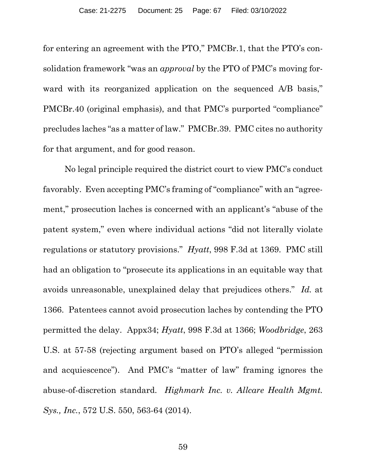for entering an agreement with the PTO," PMCBr.1, that the PTO's consolidation framework "was an *approval* by the PTO of PMC's moving forward with its reorganized application on the sequenced A/B basis," PMCBr.40 (original emphasis), and that PMC's purported "compliance" precludes laches "as a matter of law." PMCBr.39. PMC cites no authority for that argument, and for good reason.

No legal principle required the district court to view PMC's conduct favorably. Even accepting PMC's framing of "compliance" with an "agreement," prosecution laches is concerned with an applicant's "abuse of the patent system," even where individual actions "did not literally violate regulations or statutory provisions." *Hyatt*, 998 F.3d at 1369. PMC still had an obligation to "prosecute its applications in an equitable way that avoids unreasonable, unexplained delay that prejudices others." *Id.* at 1366. Patentees cannot avoid prosecution laches by contending the PTO permitted the delay. Appx34; *Hyatt*, 998 F.3d at 1366; *Woodbridge*, 263 U.S. at 57-58 (rejecting argument based on PTO's alleged "permission and acquiescence"). And PMC's "matter of law" framing ignores the abuse-of-discretion standard. *Highmark Inc. v. Allcare Health Mgmt. Sys., Inc.*, 572 U.S. 550, 563-64 (2014).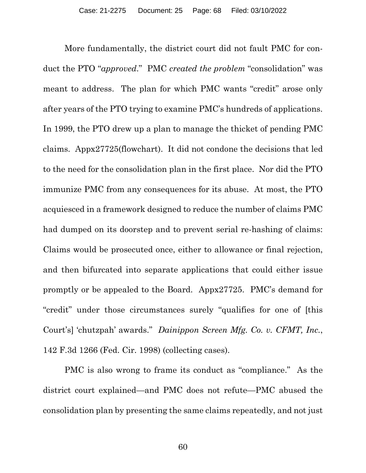More fundamentally, the district court did not fault PMC for conduct the PTO "*approved*." PMC *created the problem* "consolidation" was meant to address. The plan for which PMC wants "credit" arose only after years of the PTO trying to examine PMC's hundreds of applications. In 1999, the PTO drew up a plan to manage the thicket of pending PMC claims. Appx27725(flowchart). It did not condone the decisions that led to the need for the consolidation plan in the first place. Nor did the PTO immunize PMC from any consequences for its abuse. At most, the PTO acquiesced in a framework designed to reduce the number of claims PMC had dumped on its doorstep and to prevent serial re-hashing of claims: Claims would be prosecuted once, either to allowance or final rejection, and then bifurcated into separate applications that could either issue promptly or be appealed to the Board. Appx27725. PMC's demand for "credit" under those circumstances surely "qualifies for one of [this Court's] 'chutzpah' awards." *Dainippon Screen Mfg. Co. v. CFMT, Inc.*, 142 F.3d 1266 (Fed. Cir. 1998) (collecting cases).

PMC is also wrong to frame its conduct as "compliance." As the district court explained—and PMC does not refute—PMC abused the consolidation plan by presenting the same claims repeatedly, and not just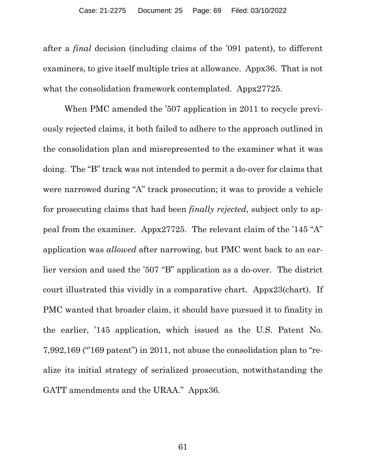after a *final* decision (including claims of the '091 patent), to different examiners, to give itself multiple tries at allowance. Appx36. That is not what the consolidation framework contemplated. Appx27725.

When PMC amended the '507 application in 2011 to recycle previously rejected claims, it both failed to adhere to the approach outlined in the consolidation plan and misrepresented to the examiner what it was doing. The "B" track was not intended to permit a do-over for claims that were narrowed during "A" track prosecution; it was to provide a vehicle for prosecuting claims that had been *finally rejected*, subject only to appeal from the examiner. Appx27725. The relevant claim of the '145 "A" application was *allowed* after narrowing, but PMC went back to an earlier version and used the '507 "B" application as a do-over. The district court illustrated this vividly in a comparative chart. Appx23(chart). If PMC wanted that broader claim, it should have pursued it to finality in the earlier, '145 application, which issued as the U.S. Patent No. 7,992,169 ("'169 patent") in 2011, not abuse the consolidation plan to "realize its initial strategy of serialized prosecution, notwithstanding the GATT amendments and the URAA." Appx36.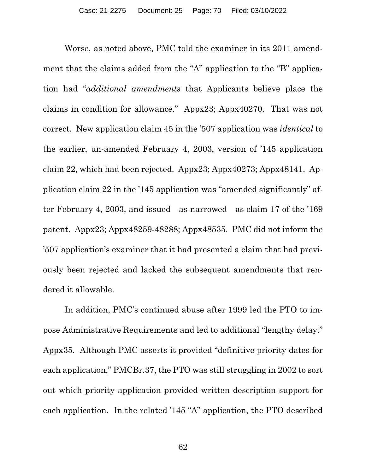Worse, as noted above, PMC told the examiner in its 2011 amendment that the claims added from the "A" application to the "B" application had "*additional amendments* that Applicants believe place the claims in condition for allowance." Appx23; Appx40270. That was not correct. New application claim 45 in the '507 application was *identical* to the earlier, un-amended February 4, 2003, version of '145 application claim 22, which had been rejected. Appx23; Appx40273; Appx48141. Application claim 22 in the '145 application was "amended significantly" after February 4, 2003, and issued—as narrowed—as claim 17 of the '169 patent. Appx23; Appx48259-48288; Appx48535. PMC did not inform the '507 application's examiner that it had presented a claim that had previously been rejected and lacked the subsequent amendments that rendered it allowable.

In addition, PMC's continued abuse after 1999 led the PTO to impose Administrative Requirements and led to additional "lengthy delay." Appx35. Although PMC asserts it provided "definitive priority dates for each application," PMCBr.37, the PTO was still struggling in 2002 to sort out which priority application provided written description support for each application. In the related '145 "A" application, the PTO described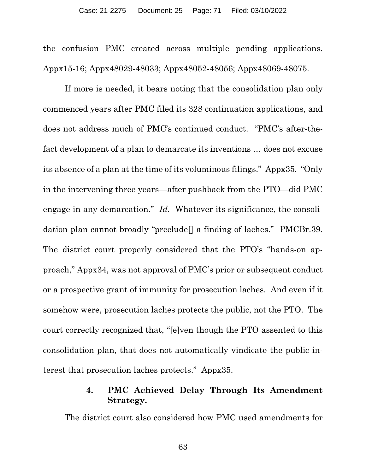the confusion PMC created across multiple pending applications. Appx15-16; Appx48029-48033; Appx48052-48056; Appx48069-48075.

If more is needed, it bears noting that the consolidation plan only commenced years after PMC filed its 328 continuation applications, and does not address much of PMC's continued conduct. "PMC's after-thefact development of a plan to demarcate its inventions … does not excuse its absence of a plan at the time of its voluminous filings." Appx35. "Only in the intervening three years—after pushback from the PTO—did PMC engage in any demarcation." *Id.* Whatever its significance, the consolidation plan cannot broadly "preclude[] a finding of laches." PMCBr.39. The district court properly considered that the PTO's "hands-on approach," Appx34, was not approval of PMC's prior or subsequent conduct or a prospective grant of immunity for prosecution laches. And even if it somehow were, prosecution laches protects the public, not the PTO. The court correctly recognized that, "[e]ven though the PTO assented to this consolidation plan, that does not automatically vindicate the public interest that prosecution laches protects." Appx35.

## **4. PMC Achieved Delay Through Its Amendment Strategy.**

The district court also considered how PMC used amendments for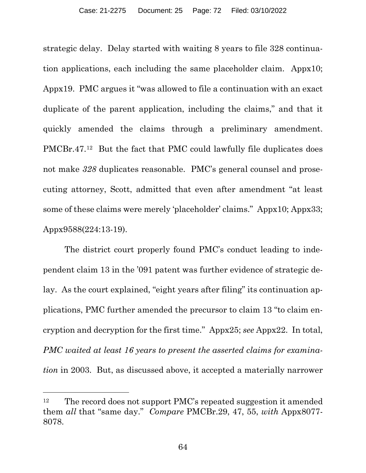strategic delay. Delay started with waiting 8 years to file 328 continuation applications, each including the same placeholder claim. Appx10; Appx19. PMC argues it "was allowed to file a continuation with an exact duplicate of the parent application, including the claims," and that it quickly amended the claims through a preliminary amendment. PMCBr.47.12 But the fact that PMC could lawfully file duplicates does not make *328* duplicates reasonable. PMC's general counsel and prosecuting attorney, Scott, admitted that even after amendment "at least some of these claims were merely 'placeholder' claims." Appx10; Appx33; Appx9588(224:13-19).

The district court properly found PMC's conduct leading to independent claim 13 in the '091 patent was further evidence of strategic delay. As the court explained, "eight years after filing" its continuation applications, PMC further amended the precursor to claim 13 "to claim encryption and decryption for the first time." Appx25; *see* Appx22. In total, *PMC waited at least 16 years to present the asserted claims for examination* in 2003. But, as discussed above, it accepted a materially narrower

l

<sup>&</sup>lt;sup>12</sup> The record does not support PMC's repeated suggestion it amended them *all* that "same day." *Compare* PMCBr.29, 47, 55, *with* Appx8077- 8078.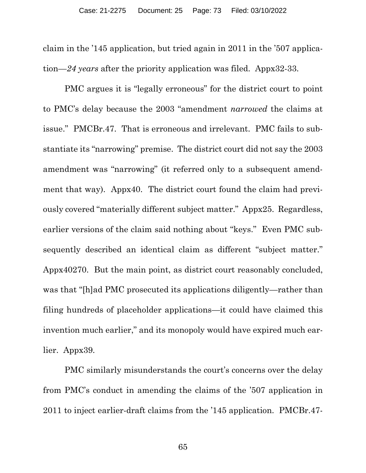claim in the '145 application, but tried again in 2011 in the '507 application—*24 years* after the priority application was filed. Appx32-33.

PMC argues it is "legally erroneous" for the district court to point to PMC's delay because the 2003 "amendment *narrowed* the claims at issue." PMCBr.47. That is erroneous and irrelevant. PMC fails to substantiate its "narrowing" premise. The district court did not say the 2003 amendment was "narrowing" (it referred only to a subsequent amendment that way). Appx40. The district court found the claim had previously covered "materially different subject matter." Appx25. Regardless, earlier versions of the claim said nothing about "keys." Even PMC subsequently described an identical claim as different "subject matter." Appx40270. But the main point, as district court reasonably concluded, was that "[h]ad PMC prosecuted its applications diligently—rather than filing hundreds of placeholder applications—it could have claimed this invention much earlier," and its monopoly would have expired much earlier. Appx39.

PMC similarly misunderstands the court's concerns over the delay from PMC's conduct in amending the claims of the '507 application in 2011 to inject earlier-draft claims from the '145 application. PMCBr.47-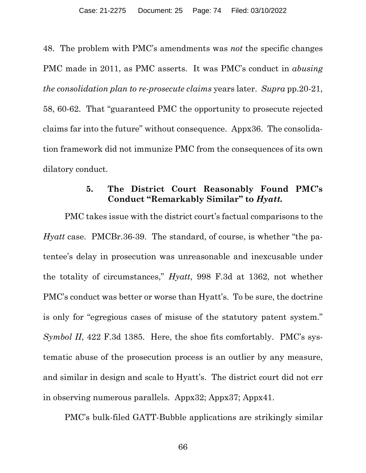48. The problem with PMC's amendments was *not* the specific changes PMC made in 2011, as PMC asserts. It was PMC's conduct in *abusing the consolidation plan to re-prosecute claims* years later. *Supra* pp.20-21, 58, 60-62. That "guaranteed PMC the opportunity to prosecute rejected claims far into the future" without consequence. Appx36. The consolidation framework did not immunize PMC from the consequences of its own dilatory conduct.

## **5. The District Court Reasonably Found PMC's Conduct "Remarkably Similar" to** *Hyatt.*

PMC takes issue with the district court's factual comparisons to the *Hyatt* case. PMCBr.36-39. The standard, of course, is whether "the patentee's delay in prosecution was unreasonable and inexcusable under the totality of circumstances," *Hyatt*, 998 F.3d at 1362, not whether PMC's conduct was better or worse than Hyatt's. To be sure, the doctrine is only for "egregious cases of misuse of the statutory patent system." *Symbol II*, 422 F.3d 1385. Here, the shoe fits comfortably. PMC's systematic abuse of the prosecution process is an outlier by any measure, and similar in design and scale to Hyatt's. The district court did not err in observing numerous parallels. Appx32; Appx37; Appx41.

PMC's bulk-filed GATT-Bubble applications are strikingly similar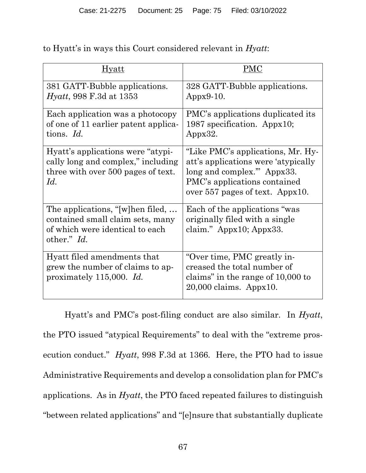| Hvatt                                                                                                                    | PMC                                                                                                                                                                         |
|--------------------------------------------------------------------------------------------------------------------------|-----------------------------------------------------------------------------------------------------------------------------------------------------------------------------|
| 381 GATT-Bubble applications.<br><i>Hyatt</i> , 998 F.3d at 1353                                                         | 328 GATT-Bubble applications.<br>$Appx9-10.$                                                                                                                                |
| Each application was a photocopy<br>of one of 11 earlier patent applica-<br>tions. Id.                                   | PMC's applications duplicated its<br>1987 specification. Appx10;<br>Appx32.                                                                                                 |
| Hyatt's applications were "atypi-<br>cally long and complex," including<br>three with over 500 pages of text.<br>Id.     | "Like PMC's applications, Mr. Hy-<br>att's applications were 'atypically<br>long and complex." Appx33.<br>PMC's applications contained<br>over $557$ pages of text. Appx10. |
| The applications, "[w]hen filed,<br>contained small claim sets, many<br>of which were identical to each<br>other." $Id.$ | Each of the applications "was"<br>originally filed with a single<br>claim." Appx10; Appx33.                                                                                 |
| Hyatt filed amendments that<br>grew the number of claims to ap-<br>proximately 115,000. Id.                              | "Over time, PMC greatly in-<br>creased the total number of<br>claims" in the range of 10,000 to<br>$20,000$ claims. Appx10.                                                 |

to Hyatt's in ways this Court considered relevant in *Hyatt*:

Hyatt's and PMC's post-filing conduct are also similar. In *Hyatt*, the PTO issued "atypical Requirements" to deal with the "extreme prosecution conduct." *Hyatt*, 998 F.3d at 1366. Here, the PTO had to issue Administrative Requirements and develop a consolidation plan for PMC's applications. As in *Hyatt*, the PTO faced repeated failures to distinguish "between related applications" and "[e]nsure that substantially duplicate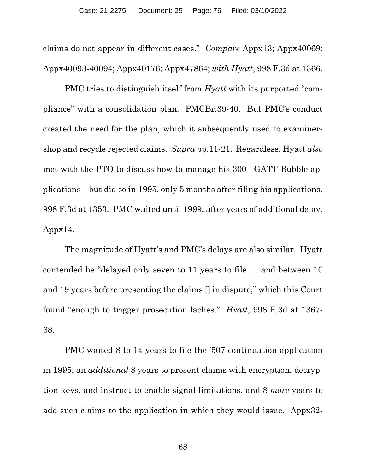claims do not appear in different cases." *Compare* Appx13; Appx40069; Appx40093-40094; Appx40176; Appx47864; *with Hyatt*, 998 F.3d at 1366.

PMC tries to distinguish itself from *Hyatt* with its purported "compliance" with a consolidation plan. PMCBr.39-40. But PMC's conduct created the need for the plan, which it subsequently used to examinershop and recycle rejected claims. *Supra* pp.11-21. Regardless, Hyatt *also* met with the PTO to discuss how to manage his 300+ GATT-Bubble applications—but did so in 1995, only 5 months after filing his applications. 998 F.3d at 1353. PMC waited until 1999, after years of additional delay. Appx14.

The magnitude of Hyatt's and PMC's delays are also similar. Hyatt contended he "delayed only seven to 11 years to file … and between 10 and 19 years before presenting the claims [] in dispute," which this Court found "enough to trigger prosecution laches." *Hyatt*, 998 F.3d at 1367- 68.

PMC waited 8 to 14 years to file the '507 continuation application in 1995, an *additional* 8 years to present claims with encryption, decryption keys, and instruct-to-enable signal limitations, and 8 *more* years to add such claims to the application in which they would issue. Appx32-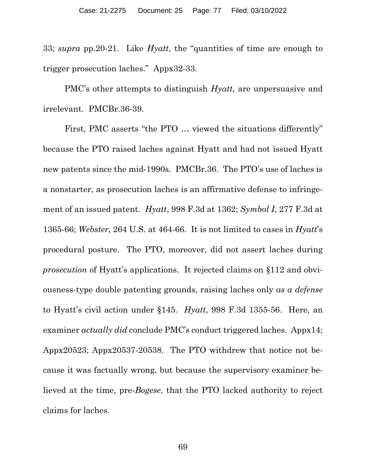33; *supra* pp.20-21. Like *Hyatt*, the "quantities of time are enough to trigger prosecution laches." Appx32-33.

PMC's other attempts to distinguish *Hyatt*, are unpersuasive and irrelevant. PMCBr.36-39.

First, PMC asserts "the PTO … viewed the situations differently" because the PTO raised laches against Hyatt and had not issued Hyatt new patents since the mid-1990s. PMCBr.36. The PTO's use of laches is a nonstarter, as prosecution laches is an affirmative defense to infringement of an issued patent. *Hyatt*, 998 F.3d at 1362; *Symbol I*, 277 F.3d at 1365-66; *Webster*, 264 U.S. at 464-66. It is not limited to cases in *Hyatt*'s procedural posture. The PTO, moreover, did not assert laches during *prosecution* of Hyatt's applications. It rejected claims on §112 and obviousness-type double patenting grounds, raising laches only *as a defense* to Hyatt's civil action under §145. *Hyatt*, 998 F.3d 1355-56. Here, an examiner *actually did* conclude PMC's conduct triggered laches. Appx14; Appx20523; Appx20537-20538. The PTO withdrew that notice not because it was factually wrong, but because the supervisory examiner believed at the time, pre-*Bogese*, that the PTO lacked authority to reject claims for laches.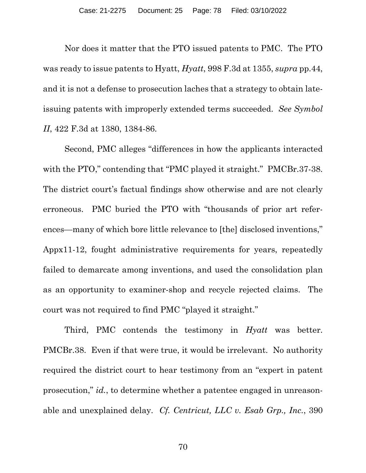Nor does it matter that the PTO issued patents to PMC. The PTO was ready to issue patents to Hyatt, *Hyatt*, 998 F.3d at 1355, *supra* pp.44, and it is not a defense to prosecution laches that a strategy to obtain lateissuing patents with improperly extended terms succeeded. *See Symbol II*, 422 F.3d at 1380, 1384-86.

Second, PMC alleges "differences in how the applicants interacted with the PTO," contending that "PMC played it straight." PMCBr.37-38. The district court's factual findings show otherwise and are not clearly erroneous. PMC buried the PTO with "thousands of prior art references—many of which bore little relevance to [the] disclosed inventions," Appx11-12, fought administrative requirements for years, repeatedly failed to demarcate among inventions, and used the consolidation plan as an opportunity to examiner-shop and recycle rejected claims. The court was not required to find PMC "played it straight."

Third, PMC contends the testimony in *Hyatt* was better. PMCBr.38. Even if that were true, it would be irrelevant. No authority required the district court to hear testimony from an "expert in patent prosecution," *id.*, to determine whether a patentee engaged in unreasonable and unexplained delay. *Cf. Centricut, LLC v. Esab Grp., Inc.*, 390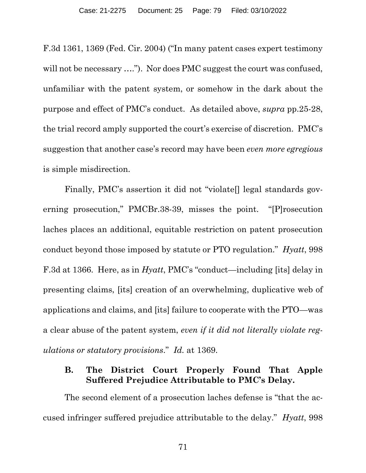F.3d 1361, 1369 (Fed. Cir. 2004) ("In many patent cases expert testimony will not be necessary ...."). Nor does PMC suggest the court was confused, unfamiliar with the patent system, or somehow in the dark about the purpose and effect of PMC's conduct. As detailed above, *supra* pp.25-28, the trial record amply supported the court's exercise of discretion. PMC's suggestion that another case's record may have been *even more egregious* is simple misdirection.

Finally, PMC's assertion it did not "violate<sup>[]</sup> legal standards governing prosecution," PMCBr.38-39, misses the point. "[P]rosecution laches places an additional, equitable restriction on patent prosecution conduct beyond those imposed by statute or PTO regulation." *Hyatt*, 998 F.3d at 1366. Here, as in *Hyatt*, PMC's "conduct—including [its] delay in presenting claims, [its] creation of an overwhelming, duplicative web of applications and claims, and [its] failure to cooperate with the PTO—was a clear abuse of the patent system, *even if it did not literally violate regulations or statutory provisions*." *Id.* at 1369.

## **B. The District Court Properly Found That Apple Suffered Prejudice Attributable to PMC's Delay.**

The second element of a prosecution laches defense is "that the accused infringer suffered prejudice attributable to the delay." *Hyatt*, 998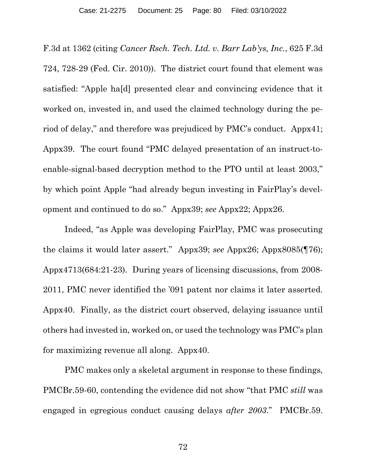F.3d at 1362 (citing *Cancer Rsch. Tech. Ltd. v. Barr Lab'ys, Inc.*, 625 F.3d 724, 728-29 (Fed. Cir. 2010)). The district court found that element was satisfied: "Apple ha[d] presented clear and convincing evidence that it worked on, invested in, and used the claimed technology during the period of delay," and therefore was prejudiced by PMC's conduct. Appx41; Appx39. The court found "PMC delayed presentation of an instruct-toenable-signal-based decryption method to the PTO until at least 2003," by which point Apple "had already begun investing in FairPlay's development and continued to do so." Appx39; *see* Appx22; Appx26.

Indeed, "as Apple was developing FairPlay, PMC was prosecuting the claims it would later assert." Appx39; *see* Appx26; Appx8085(¶76); Appx4713(684:21-23). During years of licensing discussions, from 2008- 2011, PMC never identified the '091 patent nor claims it later asserted. Appx40. Finally, as the district court observed, delaying issuance until others had invested in, worked on, or used the technology was PMC's plan for maximizing revenue all along. Appx40.

PMC makes only a skeletal argument in response to these findings, PMCBr.59-60, contending the evidence did not show "that PMC *still* was engaged in egregious conduct causing delays *after 2003*." PMCBr.59.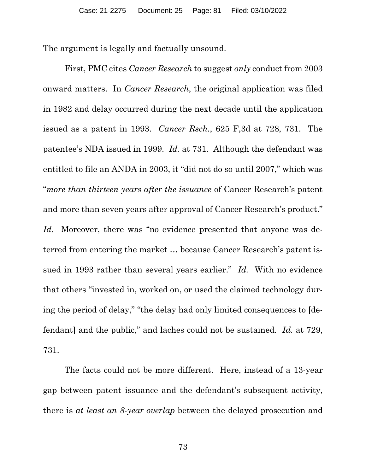The argument is legally and factually unsound.

First, PMC cites *Cancer Research* to suggest *only* conduct from 2003 onward matters. In *Cancer Research*, the original application was filed in 1982 and delay occurred during the next decade until the application issued as a patent in 1993. *Cancer Rsch.*, 625 F,3d at 728, 731. The patentee's NDA issued in 1999. *Id.* at 731. Although the defendant was entitled to file an ANDA in 2003, it "did not do so until 2007," which was "*more than thirteen years after the issuance* of Cancer Research's patent and more than seven years after approval of Cancer Research's product." Id. Moreover, there was "no evidence presented that anyone was deterred from entering the market … because Cancer Research's patent issued in 1993 rather than several years earlier." *Id.* With no evidence that others "invested in, worked on, or used the claimed technology during the period of delay," "the delay had only limited consequences to [defendant] and the public," and laches could not be sustained. *Id.* at 729, 731.

The facts could not be more different. Here, instead of a 13-year gap between patent issuance and the defendant's subsequent activity, there is *at least an 8-year overlap* between the delayed prosecution and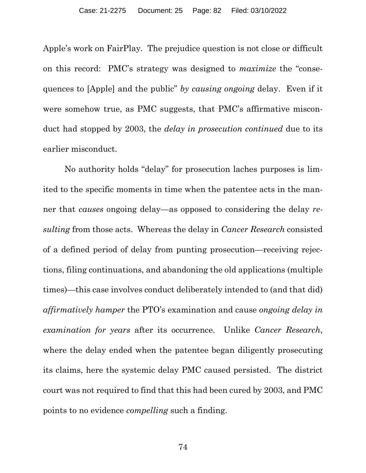Apple's work on FairPlay. The prejudice question is not close or difficult on this record: PMC's strategy was designed to *maximize* the "consequences to [Apple] and the public" *by causing ongoing* delay. Even if it were somehow true, as PMC suggests, that PMC's affirmative misconduct had stopped by 2003, the *delay in prosecution continued* due to its earlier misconduct.

No authority holds "delay" for prosecution laches purposes is limited to the specific moments in time when the patentee acts in the manner that *causes* ongoing delay—as opposed to considering the delay *resulting* from those acts. Whereas the delay in *Cancer Research* consisted of a defined period of delay from punting prosecution—receiving rejections, filing continuations, and abandoning the old applications (multiple times)—this case involves conduct deliberately intended to (and that did) *affirmatively hamper* the PTO's examination and cause *ongoing delay in examination for years* after its occurrence. Unlike *Cancer Research*, where the delay ended when the patentee began diligently prosecuting its claims, here the systemic delay PMC caused persisted. The district court was not required to find that this had been cured by 2003, and PMC points to no evidence *compelling* such a finding.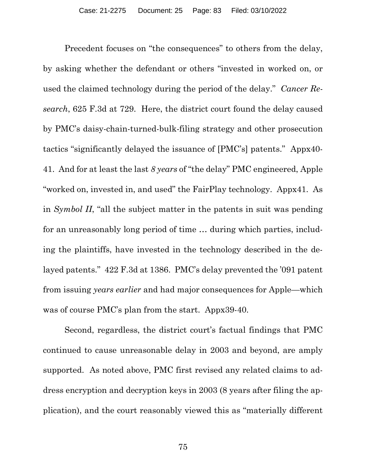Precedent focuses on "the consequences" to others from the delay, by asking whether the defendant or others "invested in worked on, or used the claimed technology during the period of the delay." *Cancer Research*, 625 F.3d at 729. Here, the district court found the delay caused by PMC's daisy-chain-turned-bulk-filing strategy and other prosecution tactics "significantly delayed the issuance of [PMC's] patents." Appx40- 41. And for at least the last *8 years* of "the delay" PMC engineered, Apple "worked on, invested in, and used" the FairPlay technology. Appx41. As in *Symbol II*, "all the subject matter in the patents in suit was pending for an unreasonably long period of time … during which parties, including the plaintiffs, have invested in the technology described in the delayed patents." 422 F.3d at 1386. PMC's delay prevented the '091 patent from issuing *years earlier* and had major consequences for Apple—which was of course PMC's plan from the start. Appx39-40.

Second, regardless, the district court's factual findings that PMC continued to cause unreasonable delay in 2003 and beyond, are amply supported. As noted above, PMC first revised any related claims to address encryption and decryption keys in 2003 (8 years after filing the application), and the court reasonably viewed this as "materially different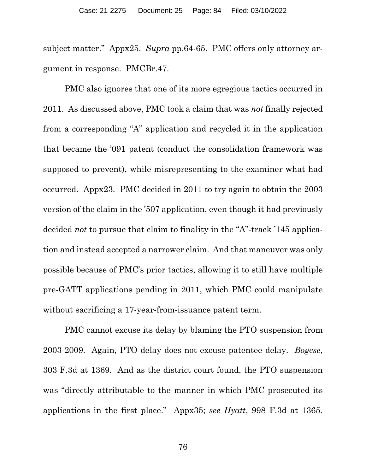subject matter." Appx25. *Supra* pp.64-65. PMC offers only attorney argument in response. PMCBr.47.

PMC also ignores that one of its more egregious tactics occurred in 2011. As discussed above, PMC took a claim that was *not* finally rejected from a corresponding "A" application and recycled it in the application that became the '091 patent (conduct the consolidation framework was supposed to prevent), while misrepresenting to the examiner what had occurred. Appx23. PMC decided in 2011 to try again to obtain the 2003 version of the claim in the '507 application, even though it had previously decided *not* to pursue that claim to finality in the "A"-track '145 application and instead accepted a narrower claim. And that maneuver was only possible because of PMC's prior tactics, allowing it to still have multiple pre-GATT applications pending in 2011, which PMC could manipulate without sacrificing a 17-year-from-issuance patent term.

PMC cannot excuse its delay by blaming the PTO suspension from 2003-2009. Again, PTO delay does not excuse patentee delay. *Bogese*, 303 F.3d at 1369. And as the district court found, the PTO suspension was "directly attributable to the manner in which PMC prosecuted its applications in the first place." Appx35; *see Hyatt*, 998 F.3d at 1365.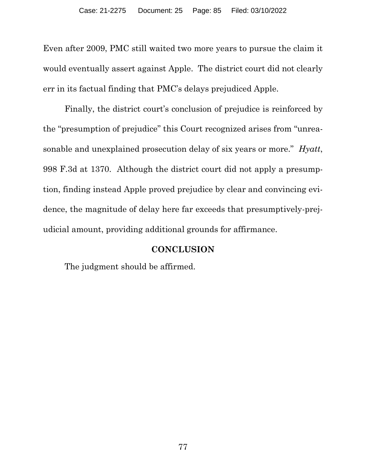Even after 2009, PMC still waited two more years to pursue the claim it would eventually assert against Apple. The district court did not clearly err in its factual finding that PMC's delays prejudiced Apple.

Finally, the district court's conclusion of prejudice is reinforced by the "presumption of prejudice" this Court recognized arises from "unreasonable and unexplained prosecution delay of six years or more." *Hyatt*, 998 F.3d at 1370. Although the district court did not apply a presumption, finding instead Apple proved prejudice by clear and convincing evidence, the magnitude of delay here far exceeds that presumptively-prejudicial amount, providing additional grounds for affirmance.

## **CONCLUSION**

The judgment should be affirmed.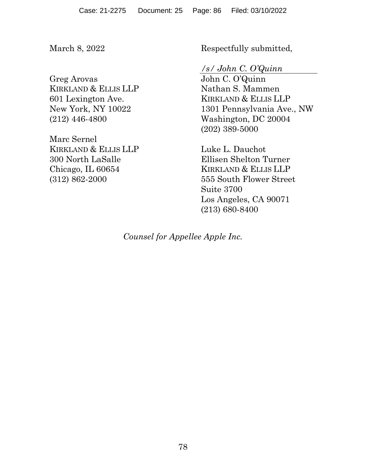March 8, 2022

Greg Arovas KIRKLAND & ELLIS LLP 601 Lexington Ave. New York, NY 10022 (212) 446-4800

Marc Sernel KIRKLAND & ELLIS LLP 300 North LaSalle Chicago, IL 60654 (312) 862-2000

Respectfully submitted,

*/s/ John C. O'Quinn*

John C. O'Quinn Nathan S. Mammen KIRKLAND & ELLIS LLP 1301 Pennsylvania Ave., NW Washington, DC 20004 (202) 389-5000

Luke L. Dauchot Ellisen Shelton Turner KIRKLAND & ELLIS LLP 555 South Flower Street Suite 3700 Los Angeles, CA 90071 (213) 680-8400

*Counsel for Appellee Apple Inc.*